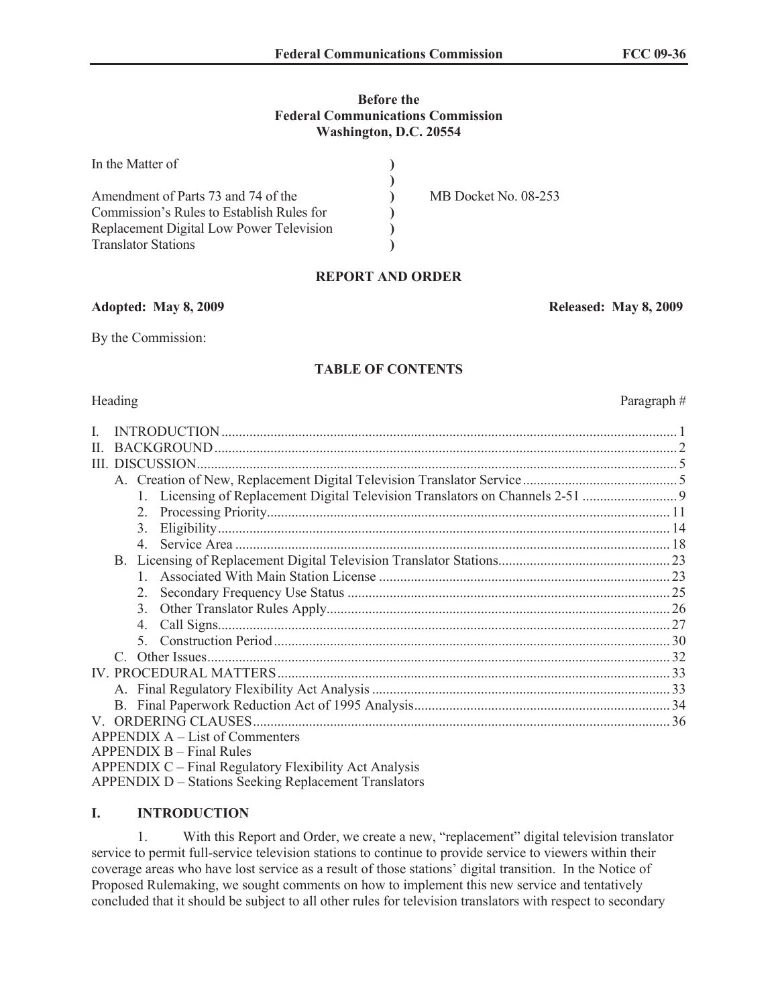#### **Before the Federal Communications Commission Washington, D.C. 20554**

| In the Matter of                          |                      |
|-------------------------------------------|----------------------|
|                                           |                      |
| Amendment of Parts 73 and 74 of the       | MB Docket No. 08-253 |
| Commission's Rules to Establish Rules for |                      |
| Replacement Digital Low Power Television  |                      |
| <b>Translator Stations</b>                |                      |

## **REPORT AND ORDER**

**Adopted: May 8, 2009 Released: May 8, 2009**

By the Commission:

#### **TABLE OF CONTENTS**

| L            |                 |                                                                             |  |  |  |  |
|--------------|-----------------|-----------------------------------------------------------------------------|--|--|--|--|
| $\mathbf{H}$ |                 |                                                                             |  |  |  |  |
|              | III. DISCUSSION |                                                                             |  |  |  |  |
|              |                 |                                                                             |  |  |  |  |
|              |                 | 1. Licensing of Replacement Digital Television Translators on Channels 2-51 |  |  |  |  |
|              | $2_{-}$         |                                                                             |  |  |  |  |
|              | 3.              |                                                                             |  |  |  |  |
|              | $\overline{4}$  |                                                                             |  |  |  |  |
|              |                 |                                                                             |  |  |  |  |
|              |                 |                                                                             |  |  |  |  |
|              | $2_{-}$         |                                                                             |  |  |  |  |
|              | 3.              |                                                                             |  |  |  |  |
|              | $4_{\cdot}$     |                                                                             |  |  |  |  |
|              |                 |                                                                             |  |  |  |  |
|              | $\mathcal{C}$   |                                                                             |  |  |  |  |
|              |                 |                                                                             |  |  |  |  |
|              |                 |                                                                             |  |  |  |  |
|              |                 |                                                                             |  |  |  |  |
|              |                 |                                                                             |  |  |  |  |
|              |                 | APPENDIX A – List of Commenters                                             |  |  |  |  |
|              |                 | $APPENDIX B - Final Rules$                                                  |  |  |  |  |
|              |                 | APPENDIX C – Final Regulatory Flexibility Act Analysis                      |  |  |  |  |
|              |                 |                                                                             |  |  |  |  |

APPENDIX D – Stations Seeking Replacement Translators

#### **I. INTRODUCTION**

1. With this Report and Order, we create a new, "replacement" digital television translator service to permit full-service television stations to continue to provide service to viewers within their coverage areas who have lost service as a result of those stations' digital transition. In the Notice of Proposed Rulemaking, we sought comments on how to implement this new service and tentatively concluded that it should be subject to all other rules for television translators with respect to secondary

Heading Paragraph #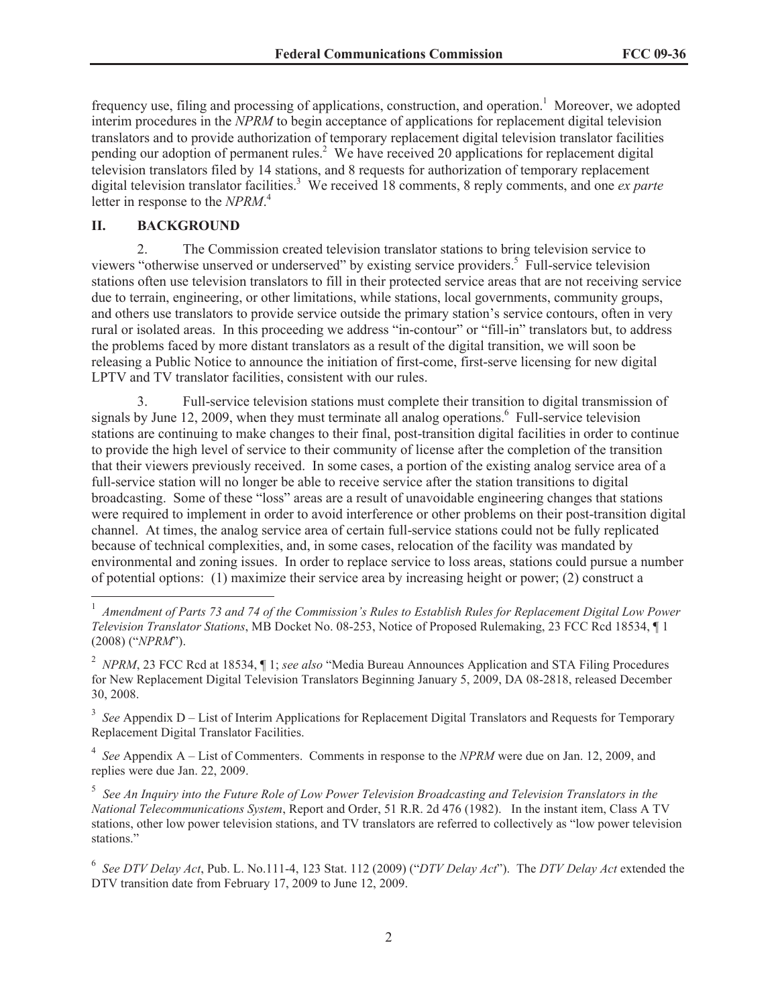frequency use, filing and processing of applications, construction, and operation.<sup>1</sup> Moreover, we adopted interim procedures in the *NPRM* to begin acceptance of applications for replacement digital television translators and to provide authorization of temporary replacement digital television translator facilities pending our adoption of permanent rules.<sup>2</sup> We have received 20 applications for replacement digital television translators filed by 14 stations, and 8 requests for authorization of temporary replacement digital television translator facilities.<sup>3</sup> We received 18 comments, 8 reply comments, and one *ex parte* letter in response to the *NPRM*. 4

#### **II. BACKGROUND**

2. The Commission created television translator stations to bring television service to viewers "otherwise unserved or underserved" by existing service providers.<sup>5</sup> Full-service television stations often use television translators to fill in their protected service areas that are not receiving service due to terrain, engineering, or other limitations, while stations, local governments, community groups, and others use translators to provide service outside the primary station's service contours, often in very rural or isolated areas. In this proceeding we address "in-contour" or "fill-in" translators but, to address the problems faced by more distant translators as a result of the digital transition, we will soon be releasing a Public Notice to announce the initiation of first-come, first-serve licensing for new digital LPTV and TV translator facilities, consistent with our rules.

3. Full-service television stations must complete their transition to digital transmission of signals by June 12, 2009, when they must terminate all analog operations.<sup>6</sup> Full-service television stations are continuing to make changes to their final, post-transition digital facilities in order to continue to provide the high level of service to their community of license after the completion of the transition that their viewers previously received. In some cases, a portion of the existing analog service area of a full-service station will no longer be able to receive service after the station transitions to digital broadcasting. Some of these "loss" areas are a result of unavoidable engineering changes that stations were required to implement in order to avoid interference or other problems on their post-transition digital channel. At times, the analog service area of certain full-service stations could not be fully replicated because of technical complexities, and, in some cases, relocation of the facility was mandated by environmental and zoning issues. In order to replace service to loss areas, stations could pursue a number of potential options: (1) maximize their service area by increasing height or power; (2) construct a

<sup>3</sup> See Appendix D – List of Interim Applications for Replacement Digital Translators and Requests for Temporary Replacement Digital Translator Facilities.

4 *See* Appendix A – List of Commenters. Comments in response to the *NPRM* were due on Jan. 12, 2009, and replies were due Jan. 22, 2009.

5 *See An Inquiry into the Future Role of Low Power Television Broadcasting and Television Translators in the National Telecommunications System*, Report and Order, 51 R.R. 2d 476 (1982). In the instant item, Class A TV stations, other low power television stations, and TV translators are referred to collectively as "low power television stations."

6 *See DTV Delay Act*, Pub. L. No.111-4, 123 Stat. 112 (2009) ("*DTV Delay Act*"). The *DTV Delay Act* extended the DTV transition date from February 17, 2009 to June 12, 2009.

<sup>&</sup>lt;sup>1</sup> Amendment of Parts 73 and 74 of the Commission's Rules to Establish Rules for Replacement Digital Low Power *Television Translator Stations*, MB Docket No. 08-253, Notice of Proposed Rulemaking, 23 FCC Rcd 18534, ¶ 1 (2008) ("*NPRM*").

<sup>2</sup> *NPRM*, 23 FCC Rcd at 18534, ¶ 1; *see also* "Media Bureau Announces Application and STA Filing Procedures for New Replacement Digital Television Translators Beginning January 5, 2009, DA 08-2818, released December 30, 2008.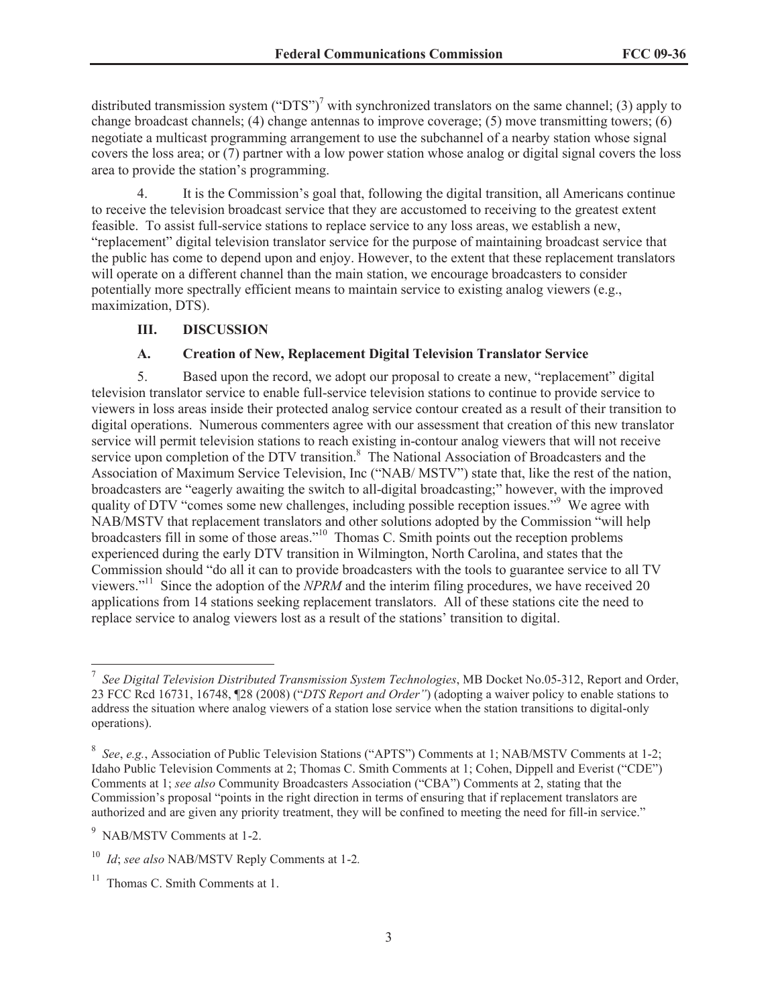distributed transmission system ("DTS")<sup>7</sup> with synchronized translators on the same channel; (3) apply to change broadcast channels; (4) change antennas to improve coverage; (5) move transmitting towers; (6) negotiate a multicast programming arrangement to use the subchannel of a nearby station whose signal covers the loss area; or (7) partner with a low power station whose analog or digital signal covers the loss area to provide the station's programming.

4. It is the Commission's goal that, following the digital transition, all Americans continue to receive the television broadcast service that they are accustomed to receiving to the greatest extent feasible. To assist full-service stations to replace service to any loss areas, we establish a new, "replacement" digital television translator service for the purpose of maintaining broadcast service that the public has come to depend upon and enjoy. However, to the extent that these replacement translators will operate on a different channel than the main station, we encourage broadcasters to consider potentially more spectrally efficient means to maintain service to existing analog viewers (e.g., maximization, DTS).

#### **III. DISCUSSION**

#### **A. Creation of New, Replacement Digital Television Translator Service**

5. Based upon the record, we adopt our proposal to create a new, "replacement" digital television translator service to enable full-service television stations to continue to provide service to viewers in loss areas inside their protected analog service contour created as a result of their transition to digital operations. Numerous commenters agree with our assessment that creation of this new translator service will permit television stations to reach existing in-contour analog viewers that will not receive service upon completion of the DTV transition.<sup>8</sup> The National Association of Broadcasters and the Association of Maximum Service Television, Inc ("NAB/ MSTV") state that, like the rest of the nation, broadcasters are "eagerly awaiting the switch to all-digital broadcasting;" however, with the improved quality of DTV "comes some new challenges, including possible reception issues."<sup>9</sup> We agree with NAB/MSTV that replacement translators and other solutions adopted by the Commission "will help broadcasters fill in some of those areas."<sup>10</sup> Thomas C. Smith points out the reception problems experienced during the early DTV transition in Wilmington, North Carolina, and states that the Commission should "do all it can to provide broadcasters with the tools to guarantee service to all TV viewers."<sup>11</sup> Since the adoption of the *NPRM* and the interim filing procedures, we have received 20 applications from 14 stations seeking replacement translators. All of these stations cite the need to replace service to analog viewers lost as a result of the stations' transition to digital.

<sup>7</sup> *See Digital Television Distributed Transmission System Technologies*, MB Docket No.05-312, Report and Order, 23 FCC Rcd 16731, 16748, ¶28 (2008) ("*DTS Report and Order"*) (adopting a waiver policy to enable stations to address the situation where analog viewers of a station lose service when the station transitions to digital-only operations).

<sup>8</sup> *See*, *e.g.*, Association of Public Television Stations ("APTS") Comments at 1; NAB/MSTV Comments at 1-2; Idaho Public Television Comments at 2; Thomas C. Smith Comments at 1; Cohen, Dippell and Everist ("CDE") Comments at 1; *see also* Community Broadcasters Association ("CBA") Comments at 2, stating that the Commission's proposal "points in the right direction in terms of ensuring that if replacement translators are authorized and are given any priority treatment, they will be confined to meeting the need for fill-in service."

<sup>9</sup> NAB/MSTV Comments at 1-2.

<sup>10</sup> *Id*; *see also* NAB/MSTV Reply Comments at 1-2*.*

<sup>&</sup>lt;sup>11</sup> Thomas C. Smith Comments at 1.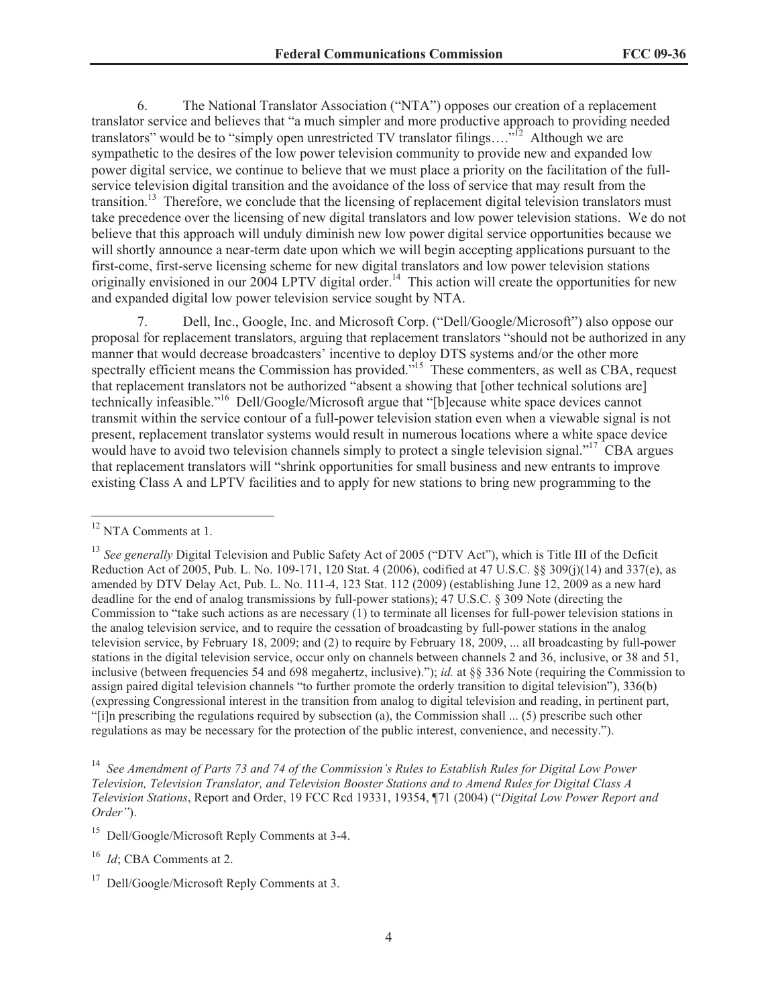6. The National Translator Association ("NTA") opposes our creation of a replacement translator service and believes that "a much simpler and more productive approach to providing needed translators" would be to "simply open unrestricted TV translator filings... $\hat{p}^{\Omega}$  Although we are sympathetic to the desires of the low power television community to provide new and expanded low power digital service, we continue to believe that we must place a priority on the facilitation of the fullservice television digital transition and the avoidance of the loss of service that may result from the transition.<sup>13</sup> Therefore, we conclude that the licensing of replacement digital television translators must take precedence over the licensing of new digital translators and low power television stations. We do not believe that this approach will unduly diminish new low power digital service opportunities because we will shortly announce a near-term date upon which we will begin accepting applications pursuant to the first-come, first-serve licensing scheme for new digital translators and low power television stations originally envisioned in our 2004 LPTV digital order.<sup>14</sup> This action will create the opportunities for new and expanded digital low power television service sought by NTA.

7. Dell, Inc., Google, Inc. and Microsoft Corp. ("Dell/Google/Microsoft") also oppose our proposal for replacement translators, arguing that replacement translators "should not be authorized in any manner that would decrease broadcasters' incentive to deploy DTS systems and/or the other more spectrally efficient means the Commission has provided.<sup>515</sup> These commenters, as well as CBA, request that replacement translators not be authorized "absent a showing that [other technical solutions are] technically infeasible."<sup>16</sup> Dell/Google/Microsoft argue that "[b]ecause white space devices cannot transmit within the service contour of a full-power television station even when a viewable signal is not present, replacement translator systems would result in numerous locations where a white space device would have to avoid two television channels simply to protect a single television signal."<sup>17</sup> CBA argues that replacement translators will "shrink opportunities for small business and new entrants to improve existing Class A and LPTV facilities and to apply for new stations to bring new programming to the

<sup>14</sup> *See Amendment of Parts 73 and 74 of the Commission's Rules to Establish Rules for Digital Low Power Television, Television Translator, and Television Booster Stations and to Amend Rules for Digital Class A Television Stations*, Report and Order, 19 FCC Rcd 19331, 19354, ¶71 (2004) ("*Digital Low Power Report and Order"*).

<sup>16</sup> *Id*; CBA Comments at 2.

<sup>&</sup>lt;sup>12</sup> NTA Comments at 1.

<sup>&</sup>lt;sup>13</sup> See generally Digital Television and Public Safety Act of 2005 ("DTV Act"), which is Title III of the Deficit Reduction Act of 2005, Pub. L. No. 109-171, 120 Stat. 4 (2006), codified at 47 U.S.C. §§ 309(j)(14) and 337(e), as amended by DTV Delay Act, Pub. L. No. 111-4, 123 Stat. 112 (2009) (establishing June 12, 2009 as a new hard deadline for the end of analog transmissions by full-power stations); 47 U.S.C. § 309 Note (directing the Commission to "take such actions as are necessary (1) to terminate all licenses for full-power television stations in the analog television service, and to require the cessation of broadcasting by full-power stations in the analog television service, by February 18, 2009; and (2) to require by February 18, 2009, ... all broadcasting by full-power stations in the digital television service, occur only on channels between channels 2 and 36, inclusive, or 38 and 51, inclusive (between frequencies 54 and 698 megahertz, inclusive)."); *id.* at §§ 336 Note (requiring the Commission to assign paired digital television channels "to further promote the orderly transition to digital television"), 336(b) (expressing Congressional interest in the transition from analog to digital television and reading, in pertinent part, "[i]n prescribing the regulations required by subsection (a), the Commission shall ... (5) prescribe such other regulations as may be necessary for the protection of the public interest, convenience, and necessity.").

<sup>15</sup> Dell/Google/Microsoft Reply Comments at 3-4.

<sup>&</sup>lt;sup>17</sup> Dell/Google/Microsoft Reply Comments at 3.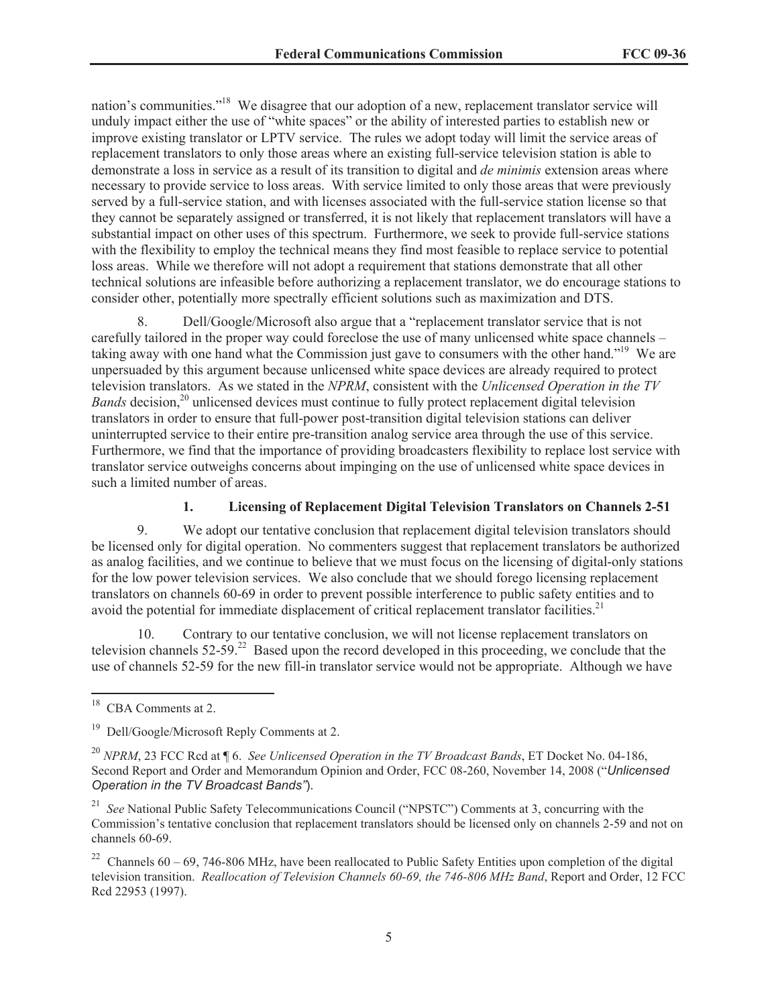nation's communities."<sup>18</sup> We disagree that our adoption of a new, replacement translator service will unduly impact either the use of "white spaces" or the ability of interested parties to establish new or improve existing translator or LPTV service. The rules we adopt today will limit the service areas of replacement translators to only those areas where an existing full-service television station is able to demonstrate a loss in service as a result of its transition to digital and *de minimis* extension areas where necessary to provide service to loss areas. With service limited to only those areas that were previously served by a full-service station, and with licenses associated with the full-service station license so that they cannot be separately assigned or transferred, it is not likely that replacement translators will have a substantial impact on other uses of this spectrum. Furthermore, we seek to provide full-service stations with the flexibility to employ the technical means they find most feasible to replace service to potential loss areas. While we therefore will not adopt a requirement that stations demonstrate that all other technical solutions are infeasible before authorizing a replacement translator, we do encourage stations to consider other, potentially more spectrally efficient solutions such as maximization and DTS.

8. Dell/Google/Microsoft also argue that a "replacement translator service that is not carefully tailored in the proper way could foreclose the use of many unlicensed white space channels – taking away with one hand what the Commission just gave to consumers with the other hand."<sup>19</sup> We are unpersuaded by this argument because unlicensed white space devices are already required to protect television translators. As we stated in the *NPRM*, consistent with the *Unlicensed Operation in the TV Bands* decision,<sup>20</sup> unlicensed devices must continue to fully protect replacement digital television translators in order to ensure that full-power post-transition digital television stations can deliver uninterrupted service to their entire pre-transition analog service area through the use of this service. Furthermore, we find that the importance of providing broadcasters flexibility to replace lost service with translator service outweighs concerns about impinging on the use of unlicensed white space devices in such a limited number of areas.

## **1. Licensing of Replacement Digital Television Translators on Channels 2-51**

9. We adopt our tentative conclusion that replacement digital television translators should be licensed only for digital operation. No commenters suggest that replacement translators be authorized as analog facilities, and we continue to believe that we must focus on the licensing of digital-only stations for the low power television services. We also conclude that we should forego licensing replacement translators on channels 60-69 in order to prevent possible interference to public safety entities and to avoid the potential for immediate displacement of critical replacement translator facilities.<sup>21</sup>

10. Contrary to our tentative conclusion, we will not license replacement translators on television channels 52-59.<sup>22</sup> Based upon the record developed in this proceeding, we conclude that the use of channels 52-59 for the new fill-in translator service would not be appropriate. Although we have

<sup>&</sup>lt;sup>18</sup> CBA Comments at 2.

<sup>19</sup> Dell/Google/Microsoft Reply Comments at 2.

<sup>20</sup> *NPRM*, 23 FCC Rcd at ¶ 6. *See Unlicensed Operation in the TV Broadcast Bands*, ET Docket No. 04-186, Second Report and Order and Memorandum Opinion and Order, FCC 08-260, November 14, 2008 ("*Unlicensed Operation in the TV Broadcast Bands"*).

<sup>&</sup>lt;sup>21</sup> *See* National Public Safety Telecommunications Council ("NPSTC") Comments at 3, concurring with the Commission's tentative conclusion that replacement translators should be licensed only on channels 2-59 and not on channels 60-69.

<sup>&</sup>lt;sup>22</sup> Channels 60 – 69, 746-806 MHz, have been reallocated to Public Safety Entities upon completion of the digital television transition. *Reallocation of Television Channels 60-69, the 746-806 MHz Band*, Report and Order, 12 FCC Rcd 22953 (1997).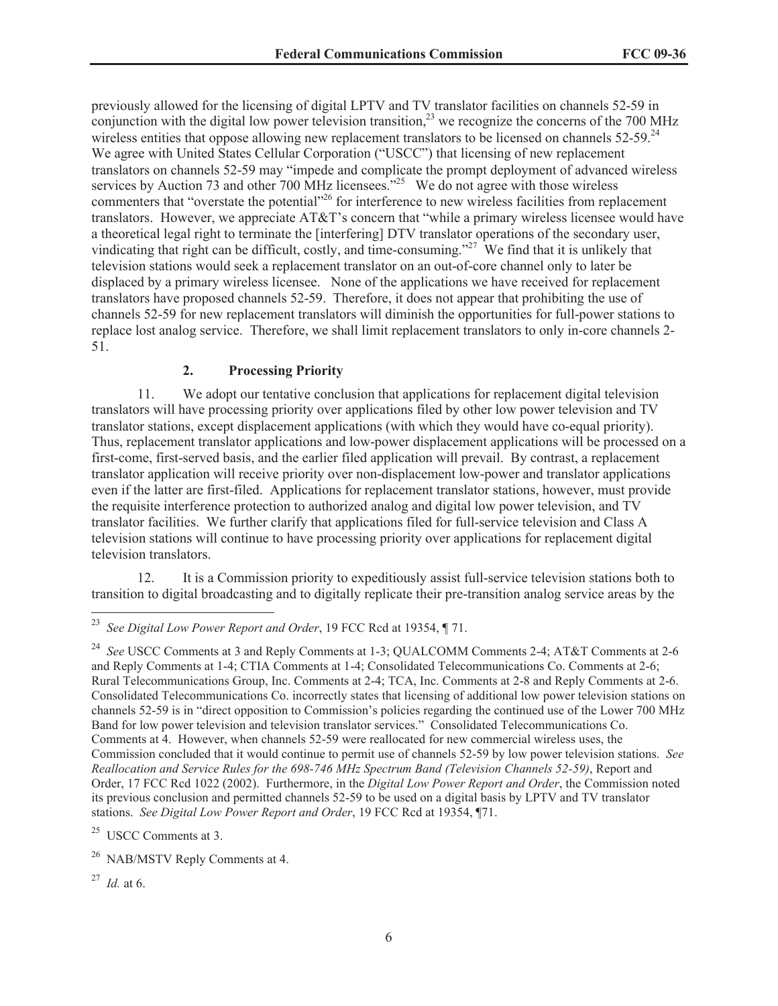previously allowed for the licensing of digital LPTV and TV translator facilities on channels 52-59 in conjunction with the digital low power television transition,<sup>23</sup> we recognize the concerns of the 700 MHz wireless entities that oppose allowing new replacement translators to be licensed on channels  $52-59$ .<sup>24</sup> We agree with United States Cellular Corporation ("USCC") that licensing of new replacement translators on channels 52-59 may "impede and complicate the prompt deployment of advanced wireless services by Auction 73 and other 700 MHz licensees.<sup> $25$ </sup> We do not agree with those wireless commenters that "overstate the potential"<sup>26</sup> for interference to new wireless facilities from replacement translators. However, we appreciate AT&T's concern that "while a primary wireless licensee would have a theoretical legal right to terminate the [interfering] DTV translator operations of the secondary user, vindicating that right can be difficult, costly, and time-consuming."<sup>27</sup> We find that it is unlikely that television stations would seek a replacement translator on an out-of-core channel only to later be displaced by a primary wireless licensee. None of the applications we have received for replacement translators have proposed channels 52-59. Therefore, it does not appear that prohibiting the use of channels 52-59 for new replacement translators will diminish the opportunities for full-power stations to replace lost analog service. Therefore, we shall limit replacement translators to only in-core channels 2- 51.

#### **2. Processing Priority**

11. We adopt our tentative conclusion that applications for replacement digital television translators will have processing priority over applications filed by other low power television and TV translator stations, except displacement applications (with which they would have co-equal priority). Thus, replacement translator applications and low-power displacement applications will be processed on a first-come, first-served basis, and the earlier filed application will prevail. By contrast, a replacement translator application will receive priority over non-displacement low-power and translator applications even if the latter are first-filed. Applications for replacement translator stations, however, must provide the requisite interference protection to authorized analog and digital low power television, and TV translator facilities. We further clarify that applications filed for full-service television and Class A television stations will continue to have processing priority over applications for replacement digital television translators.

12. It is a Commission priority to expeditiously assist full-service television stations both to transition to digital broadcasting and to digitally replicate their pre-transition analog service areas by the

<sup>23</sup> *See Digital Low Power Report and Order*, 19 FCC Rcd at 19354, ¶ 71.

<sup>24</sup> *See* USCC Comments at 3 and Reply Comments at 1-3; QUALCOMM Comments 2-4; AT&T Comments at 2-6 and Reply Comments at 1-4; CTIA Comments at 1-4; Consolidated Telecommunications Co. Comments at 2-6; Rural Telecommunications Group, Inc. Comments at 2-4; TCA, Inc. Comments at 2-8 and Reply Comments at 2-6. Consolidated Telecommunications Co. incorrectly states that licensing of additional low power television stations on channels 52-59 is in "direct opposition to Commission's policies regarding the continued use of the Lower 700 MHz Band for low power television and television translator services." Consolidated Telecommunications Co. Comments at 4. However, when channels 52-59 were reallocated for new commercial wireless uses, the Commission concluded that it would continue to permit use of channels 52-59 by low power television stations. *See Reallocation and Service Rules for the 698-746 MHz Spectrum Band (Television Channels 52-59)*, Report and Order, 17 FCC Rcd 1022 (2002). Furthermore, in the *Digital Low Power Report and Order*, the Commission noted its previous conclusion and permitted channels 52-59 to be used on a digital basis by LPTV and TV translator stations. *See Digital Low Power Report and Order*, 19 FCC Rcd at 19354, ¶71.

 $25$  USCC Comments at 3.

<sup>&</sup>lt;sup>26</sup> NAB/MSTV Reply Comments at 4.

<sup>27</sup> *Id.* at 6.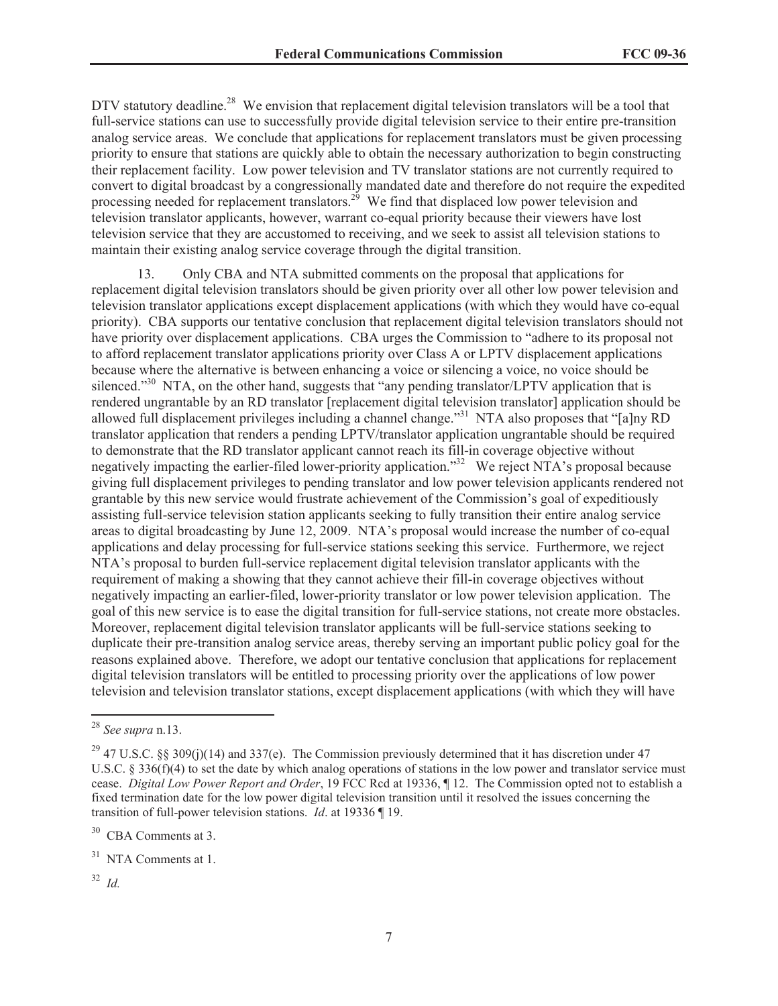DTV statutory deadline.<sup>28</sup> We envision that replacement digital television translators will be a tool that full-service stations can use to successfully provide digital television service to their entire pre-transition analog service areas. We conclude that applications for replacement translators must be given processing priority to ensure that stations are quickly able to obtain the necessary authorization to begin constructing their replacement facility. Low power television and TV translator stations are not currently required to convert to digital broadcast by a congressionally mandated date and therefore do not require the expedited processing needed for replacement translators.<sup>29</sup> We find that displaced low power television and television translator applicants, however, warrant co-equal priority because their viewers have lost television service that they are accustomed to receiving, and we seek to assist all television stations to maintain their existing analog service coverage through the digital transition.

13. Only CBA and NTA submitted comments on the proposal that applications for replacement digital television translators should be given priority over all other low power television and television translator applications except displacement applications (with which they would have co-equal priority). CBA supports our tentative conclusion that replacement digital television translators should not have priority over displacement applications. CBA urges the Commission to "adhere to its proposal not to afford replacement translator applications priority over Class A or LPTV displacement applications because where the alternative is between enhancing a voice or silencing a voice, no voice should be silenced."<sup>30</sup> NTA, on the other hand, suggests that "any pending translator/LPTV application that is rendered ungrantable by an RD translator [replacement digital television translator] application should be allowed full displacement privileges including a channel change."<sup>31</sup> NTA also proposes that "[a]ny RD translator application that renders a pending LPTV/translator application ungrantable should be required to demonstrate that the RD translator applicant cannot reach its fill-in coverage objective without negatively impacting the earlier-filed lower-priority application."<sup>32</sup> We reject NTA's proposal because giving full displacement privileges to pending translator and low power television applicants rendered not grantable by this new service would frustrate achievement of the Commission's goal of expeditiously assisting full-service television station applicants seeking to fully transition their entire analog service areas to digital broadcasting by June 12, 2009. NTA's proposal would increase the number of co-equal applications and delay processing for full-service stations seeking this service. Furthermore, we reject NTA's proposal to burden full-service replacement digital television translator applicants with the requirement of making a showing that they cannot achieve their fill-in coverage objectives without negatively impacting an earlier-filed, lower-priority translator or low power television application. The goal of this new service is to ease the digital transition for full-service stations, not create more obstacles. Moreover, replacement digital television translator applicants will be full-service stations seeking to duplicate their pre-transition analog service areas, thereby serving an important public policy goal for the reasons explained above. Therefore, we adopt our tentative conclusion that applications for replacement digital television translators will be entitled to processing priority over the applications of low power television and television translator stations, except displacement applications (with which they will have

<sup>32</sup> *Id.*

<sup>28</sup> *See supra* n.13.

<sup>&</sup>lt;sup>29</sup> 47 U.S.C. §§ 309(j)(14) and 337(e). The Commission previously determined that it has discretion under 47 U.S.C. § 336(f)(4) to set the date by which analog operations of stations in the low power and translator service must cease. *Digital Low Power Report and Order*, 19 FCC Rcd at 19336, ¶ 12. The Commission opted not to establish a fixed termination date for the low power digital television transition until it resolved the issues concerning the transition of full-power television stations. *Id*. at 19336 ¶ 19.

 $30$  CBA Comments at 3.

<sup>&</sup>lt;sup>31</sup> NTA Comments at 1.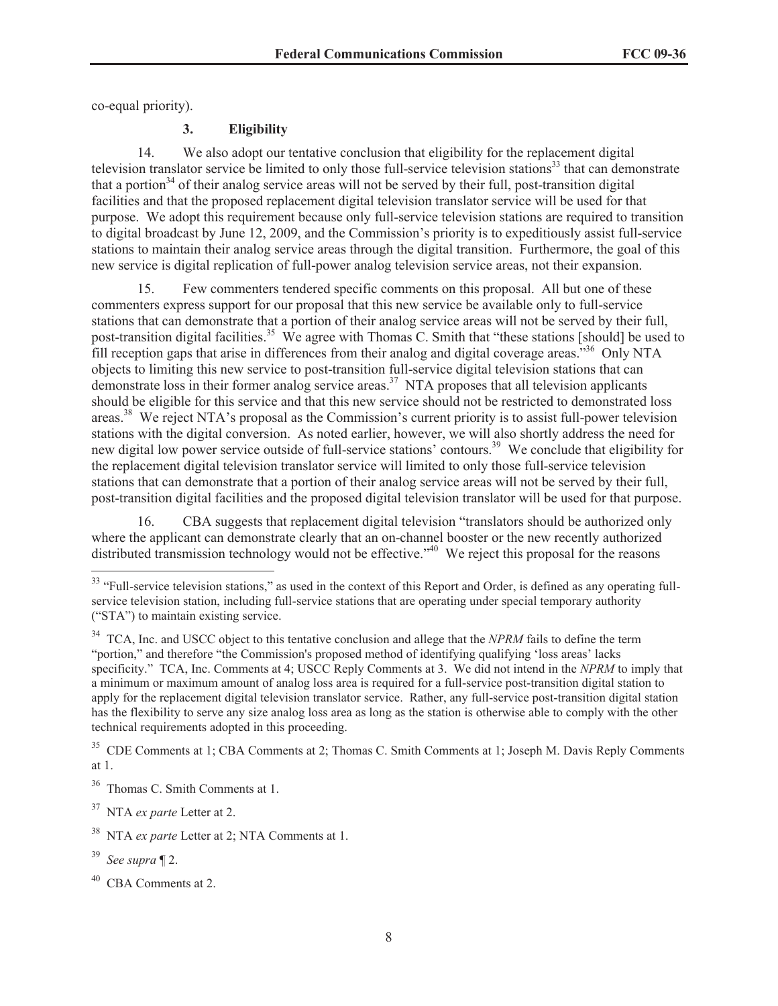co-equal priority).

#### **3. Eligibility**

14. We also adopt our tentative conclusion that eligibility for the replacement digital television translator service be limited to only those full-service television stations<sup>33</sup> that can demonstrate that a portion<sup>34</sup> of their analog service areas will not be served by their full, post-transition digital facilities and that the proposed replacement digital television translator service will be used for that purpose. We adopt this requirement because only full-service television stations are required to transition to digital broadcast by June 12, 2009, and the Commission's priority is to expeditiously assist full-service stations to maintain their analog service areas through the digital transition. Furthermore, the goal of this new service is digital replication of full-power analog television service areas, not their expansion.

15. Few commenters tendered specific comments on this proposal. All but one of these commenters express support for our proposal that this new service be available only to full-service stations that can demonstrate that a portion of their analog service areas will not be served by their full, post-transition digital facilities.<sup>35</sup> We agree with Thomas C. Smith that "these stations [should] be used to fill reception gaps that arise in differences from their analog and digital coverage areas."<sup>36</sup> Only NTA objects to limiting this new service to post-transition full-service digital television stations that can demonstrate loss in their former analog service areas.<sup>37</sup> NTA proposes that all television applicants should be eligible for this service and that this new service should not be restricted to demonstrated loss areas.<sup>38</sup> We reject NTA's proposal as the Commission's current priority is to assist full-power television stations with the digital conversion. As noted earlier, however, we will also shortly address the need for new digital low power service outside of full-service stations' contours.<sup>39</sup> We conclude that eligibility for the replacement digital television translator service will limited to only those full-service television stations that can demonstrate that a portion of their analog service areas will not be served by their full, post-transition digital facilities and the proposed digital television translator will be used for that purpose.

16. CBA suggests that replacement digital television "translators should be authorized only where the applicant can demonstrate clearly that an on-channel booster or the new recently authorized distributed transmission technology would not be effective.<sup>"40</sup> We reject this proposal for the reasons

<sup>&</sup>lt;sup>33</sup> "Full-service television stations," as used in the context of this Report and Order, is defined as any operating fullservice television station, including full-service stations that are operating under special temporary authority ("STA") to maintain existing service.

<sup>&</sup>lt;sup>34</sup> TCA, Inc. and USCC object to this tentative conclusion and allege that the *NPRM* fails to define the term "portion," and therefore "the Commission's proposed method of identifying qualifying 'loss areas' lacks specificity." TCA, Inc. Comments at 4; USCC Reply Comments at 3. We did not intend in the *NPRM* to imply that a minimum or maximum amount of analog loss area is required for a full-service post-transition digital station to apply for the replacement digital television translator service. Rather, any full-service post-transition digital station has the flexibility to serve any size analog loss area as long as the station is otherwise able to comply with the other technical requirements adopted in this proceeding.

<sup>&</sup>lt;sup>35</sup> CDE Comments at 1; CBA Comments at 2; Thomas C. Smith Comments at 1; Joseph M. Davis Reply Comments at 1.

<sup>36</sup> Thomas C. Smith Comments at 1.

<sup>37</sup> NTA *ex parte* Letter at 2.

<sup>38</sup> NTA *ex parte* Letter at 2; NTA Comments at 1.

<sup>39</sup> *See supra* ¶ 2.

CBA Comments at 2.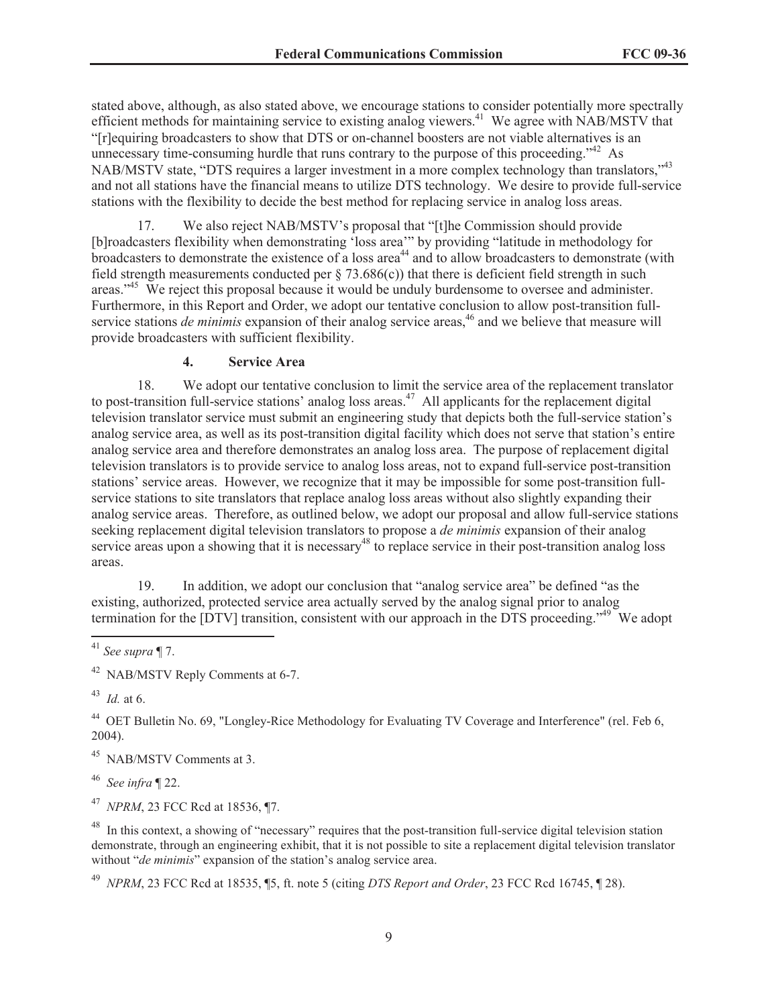stated above, although, as also stated above, we encourage stations to consider potentially more spectrally efficient methods for maintaining service to existing analog viewers.<sup>41</sup> We agree with NAB/MSTV that "[r]equiring broadcasters to show that DTS or on-channel boosters are not viable alternatives is an unnecessary time-consuming hurdle that runs contrary to the purpose of this proceeding."<sup>42</sup> As NAB/MSTV state, "DTS requires a larger investment in a more complex technology than translators,"<sup>43</sup> and not all stations have the financial means to utilize DTS technology. We desire to provide full-service stations with the flexibility to decide the best method for replacing service in analog loss areas.

17. We also reject NAB/MSTV's proposal that "[t]he Commission should provide [b]roadcasters flexibility when demonstrating 'loss area'" by providing "latitude in methodology for broadcasters to demonstrate the existence of a loss area<sup>44</sup> and to allow broadcasters to demonstrate (with field strength measurements conducted per  $\S$  73.686(c)) that there is deficient field strength in such areas."<sup>45</sup> We reject this proposal because it would be unduly burdensome to oversee and administer. Furthermore, in this Report and Order, we adopt our tentative conclusion to allow post-transition fullservice stations *de minimis* expansion of their analog service areas,<sup>46</sup> and we believe that measure will provide broadcasters with sufficient flexibility.

#### **4. Service Area**

18. We adopt our tentative conclusion to limit the service area of the replacement translator to post-transition full-service stations' analog loss areas.<sup>47</sup> All applicants for the replacement digital television translator service must submit an engineering study that depicts both the full-service station's analog service area, as well as its post-transition digital facility which does not serve that station's entire analog service area and therefore demonstrates an analog loss area. The purpose of replacement digital television translators is to provide service to analog loss areas, not to expand full-service post-transition stations' service areas. However, we recognize that it may be impossible for some post-transition fullservice stations to site translators that replace analog loss areas without also slightly expanding their analog service areas. Therefore, as outlined below, we adopt our proposal and allow full-service stations seeking replacement digital television translators to propose a *de minimis* expansion of their analog service areas upon a showing that it is necessary<sup>48</sup> to replace service in their post-transition analog loss areas.

19. In addition, we adopt our conclusion that "analog service area" be defined "as the existing, authorized, protected service area actually served by the analog signal prior to analog termination for the [DTV] transition, consistent with our approach in the DTS proceeding."<sup>49</sup> We adopt

<sup>45</sup> NAB/MSTV Comments at 3.

<sup>46</sup> *See infra* ¶ 22.

<sup>47</sup> *NPRM*, 23 FCC Rcd at 18536, ¶7.

<sup>48</sup> In this context, a showing of "necessary" requires that the post-transition full-service digital television station demonstrate, through an engineering exhibit, that it is not possible to site a replacement digital television translator without "*de minimis*" expansion of the station's analog service area.

<sup>49</sup> *NPRM*, 23 FCC Rcd at 18535, ¶5, ft. note 5 (citing *DTS Report and Order*, 23 FCC Rcd 16745, ¶ 28).

<sup>41</sup> *See supra* ¶ 7.

<sup>42</sup> NAB/MSTV Reply Comments at 6-7.

<sup>43</sup> *Id.* at 6.

<sup>44</sup> OET Bulletin No. 69, "Longley-Rice Methodology for Evaluating TV Coverage and Interference" (rel. Feb 6, 2004).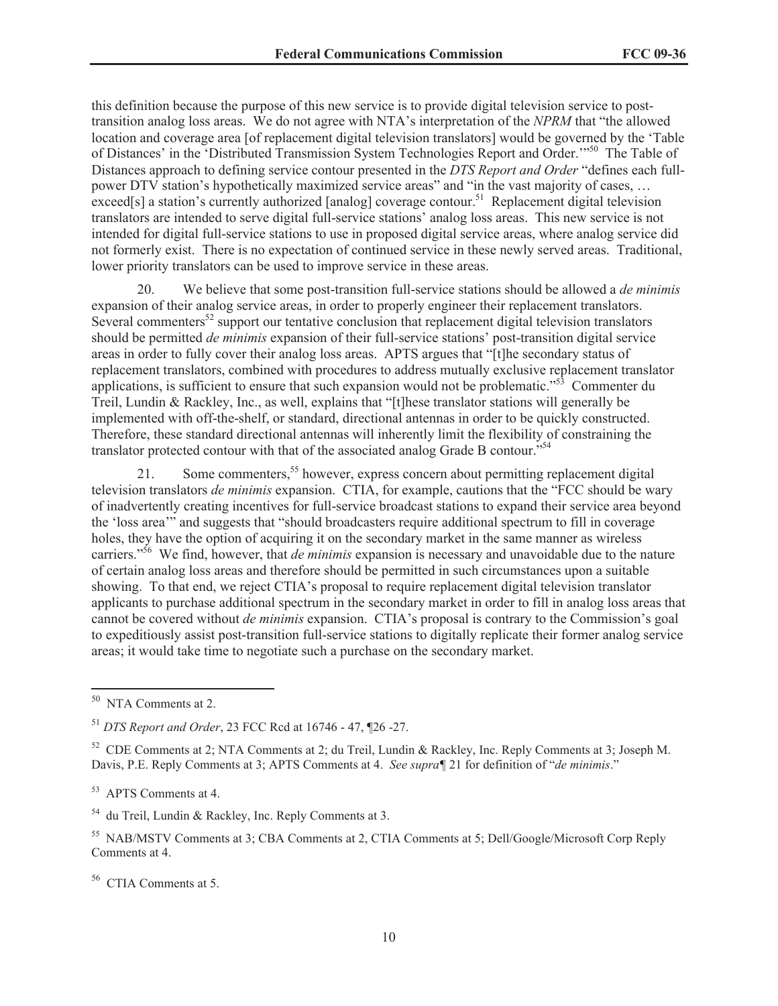this definition because the purpose of this new service is to provide digital television service to posttransition analog loss areas. We do not agree with NTA's interpretation of the *NPRM* that "the allowed location and coverage area [of replacement digital television translators] would be governed by the 'Table of Distances' in the 'Distributed Transmission System Technologies Report and Order.'"<sup>50</sup> The Table of Distances approach to defining service contour presented in the *DTS Report and Order* "defines each fullpower DTV station's hypothetically maximized service areas" and "in the vast majority of cases, … exceed[s] a station's currently authorized [analog] coverage contour.<sup>51</sup> Replacement digital television translators are intended to serve digital full-service stations' analog loss areas. This new service is not intended for digital full-service stations to use in proposed digital service areas, where analog service did not formerly exist. There is no expectation of continued service in these newly served areas. Traditional, lower priority translators can be used to improve service in these areas.

20. We believe that some post-transition full-service stations should be allowed a *de minimis*  expansion of their analog service areas, in order to properly engineer their replacement translators. Several commenters<sup>52</sup> support our tentative conclusion that replacement digital television translators should be permitted *de minimis* expansion of their full-service stations' post-transition digital service areas in order to fully cover their analog loss areas. APTS argues that "[t]he secondary status of replacement translators, combined with procedures to address mutually exclusive replacement translator applications, is sufficient to ensure that such expansion would not be problematic."<sup>53</sup> Commenter du Treil, Lundin & Rackley, Inc., as well, explains that "[t]hese translator stations will generally be implemented with off-the-shelf, or standard, directional antennas in order to be quickly constructed. Therefore, these standard directional antennas will inherently limit the flexibility of constraining the translator protected contour with that of the associated analog Grade B contour.<sup>554</sup>

21. Some commenters,<sup>55</sup> however, express concern about permitting replacement digital television translators *de minimis* expansion. CTIA, for example, cautions that the "FCC should be wary of inadvertently creating incentives for full-service broadcast stations to expand their service area beyond the 'loss area'" and suggests that "should broadcasters require additional spectrum to fill in coverage holes, they have the option of acquiring it on the secondary market in the same manner as wireless carriers."<sup>56</sup> We find, however, that *de minimis* expansion is necessary and unavoidable due to the nature of certain analog loss areas and therefore should be permitted in such circumstances upon a suitable showing. To that end, we reject CTIA's proposal to require replacement digital television translator applicants to purchase additional spectrum in the secondary market in order to fill in analog loss areas that cannot be covered without *de minimis* expansion. CTIA's proposal is contrary to the Commission's goal to expeditiously assist post-transition full-service stations to digitally replicate their former analog service areas; it would take time to negotiate such a purchase on the secondary market.

<sup>50</sup> NTA Comments at 2.

<sup>51</sup> *DTS Report and Order*, 23 FCC Rcd at 16746 - 47, ¶26 -27.

<sup>52</sup> CDE Comments at 2; NTA Comments at 2; du Treil, Lundin & Rackley, Inc. Reply Comments at 3; Joseph M. Davis, P.E. Reply Comments at 3; APTS Comments at 4. *See supra¶* 21 for definition of "*de minimis*."

<sup>53</sup> APTS Comments at 4.

<sup>54</sup> du Treil, Lundin & Rackley, Inc. Reply Comments at 3.

<sup>55</sup> NAB/MSTV Comments at 3; CBA Comments at 2, CTIA Comments at 5; Dell/Google/Microsoft Corp Reply Comments at 4.

<sup>56</sup> CTIA Comments at 5.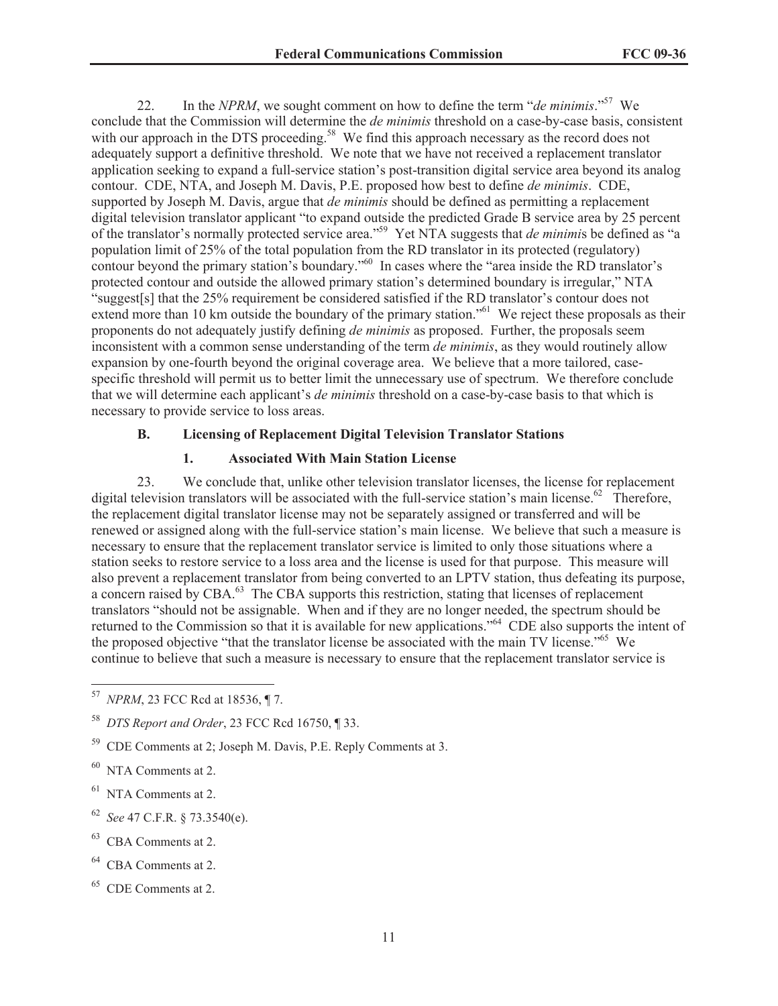22. In the *NPRM*, we sought comment on how to define the term "*de minimis*."<sup>57</sup> We conclude that the Commission will determine the *de minimis* threshold on a case-by-case basis, consistent with our approach in the DTS proceeding.<sup>58</sup> We find this approach necessary as the record does not adequately support a definitive threshold. We note that we have not received a replacement translator application seeking to expand a full-service station's post-transition digital service area beyond its analog contour. CDE, NTA, and Joseph M. Davis, P.E. proposed how best to define *de minimis*. CDE, supported by Joseph M. Davis, argue that *de minimis* should be defined as permitting a replacement digital television translator applicant "to expand outside the predicted Grade B service area by 25 percent of the translator's normally protected service area."<sup>59</sup> Yet NTA suggests that *de minimi*s be defined as "a population limit of 25% of the total population from the RD translator in its protected (regulatory) contour beyond the primary station's boundary.<sup>"60</sup> In cases where the "area inside the RD translator's protected contour and outside the allowed primary station's determined boundary is irregular," NTA "suggest[s] that the 25% requirement be considered satisfied if the RD translator's contour does not extend more than 10 km outside the boundary of the primary station."<sup>61</sup> We reject these proposals as their proponents do not adequately justify defining *de minimis* as proposed. Further, the proposals seem inconsistent with a common sense understanding of the term *de minimis*, as they would routinely allow expansion by one-fourth beyond the original coverage area. We believe that a more tailored, casespecific threshold will permit us to better limit the unnecessary use of spectrum. We therefore conclude that we will determine each applicant's *de minimis* threshold on a case-by-case basis to that which is necessary to provide service to loss areas.

# **B. Licensing of Replacement Digital Television Translator Stations**

#### **1. Associated With Main Station License**

23. We conclude that, unlike other television translator licenses, the license for replacement digital television translators will be associated with the full-service station's main license.<sup>62</sup> Therefore, the replacement digital translator license may not be separately assigned or transferred and will be renewed or assigned along with the full-service station's main license. We believe that such a measure is necessary to ensure that the replacement translator service is limited to only those situations where a station seeks to restore service to a loss area and the license is used for that purpose. This measure will also prevent a replacement translator from being converted to an LPTV station, thus defeating its purpose, a concern raised by CBA.<sup>63</sup> The CBA supports this restriction, stating that licenses of replacement translators "should not be assignable. When and if they are no longer needed, the spectrum should be returned to the Commission so that it is available for new applications."<sup>64</sup> CDE also supports the intent of the proposed objective "that the translator license be associated with the main TV license."<sup>65</sup> We continue to believe that such a measure is necessary to ensure that the replacement translator service is

- <sup>60</sup> NTA Comments at 2.
- <sup>61</sup> NTA Comments at 2.
- <sup>62</sup> *See* 47 C.F.R. § 73.3540(e).
- $63$  CBA Comments at 2.
- CBA Comments at 2.
- <sup>65</sup> CDE Comments at 2.

<sup>57</sup> *NPRM*, 23 FCC Rcd at 18536, ¶ 7.

<sup>58</sup> *DTS Report and Order*, 23 FCC Rcd 16750, ¶ 33.

<sup>59</sup> CDE Comments at 2; Joseph M. Davis, P.E. Reply Comments at 3.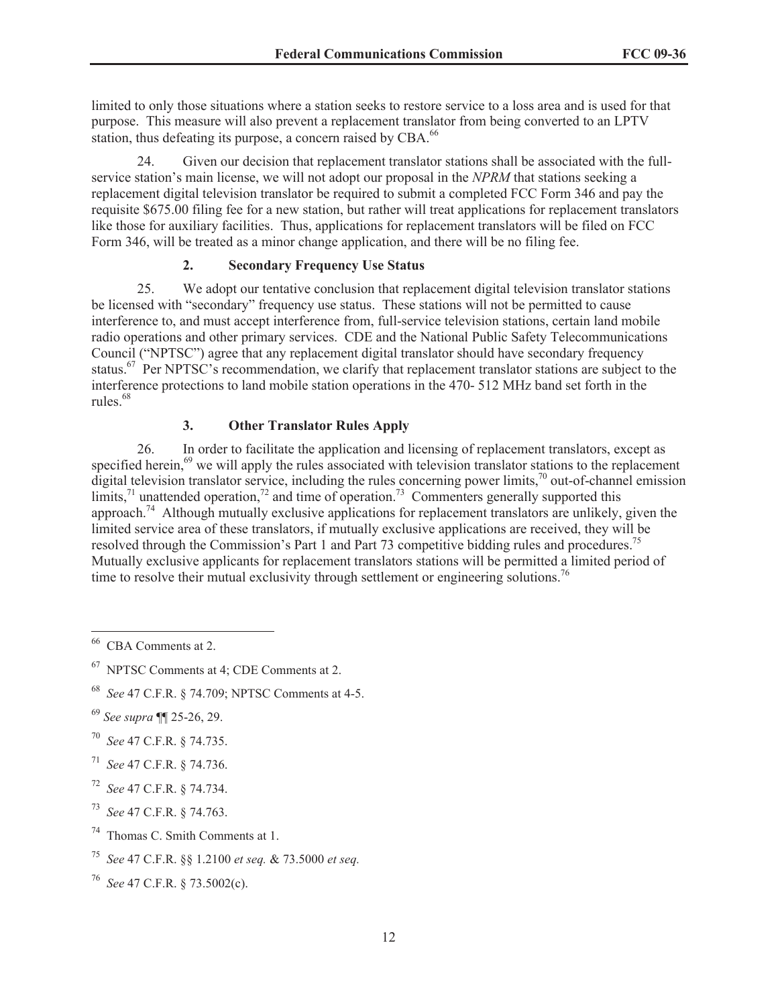limited to only those situations where a station seeks to restore service to a loss area and is used for that purpose. This measure will also prevent a replacement translator from being converted to an LPTV station, thus defeating its purpose, a concern raised by CBA.<sup>66</sup>

24. Given our decision that replacement translator stations shall be associated with the fullservice station's main license, we will not adopt our proposal in the *NPRM* that stations seeking a replacement digital television translator be required to submit a completed FCC Form 346 and pay the requisite \$675.00 filing fee for a new station, but rather will treat applications for replacement translators like those for auxiliary facilities. Thus, applications for replacement translators will be filed on FCC Form 346, will be treated as a minor change application, and there will be no filing fee.

## **2. Secondary Frequency Use Status**

25. We adopt our tentative conclusion that replacement digital television translator stations be licensed with "secondary" frequency use status. These stations will not be permitted to cause interference to, and must accept interference from, full-service television stations, certain land mobile radio operations and other primary services. CDE and the National Public Safety Telecommunications Council ("NPTSC") agree that any replacement digital translator should have secondary frequency status.<sup>67</sup> Per NPTSC's recommendation, we clarify that replacement translator stations are subject to the interference protections to land mobile station operations in the 470- 512 MHz band set forth in the rules.<sup>68</sup>

# **3. Other Translator Rules Apply**

26. In order to facilitate the application and licensing of replacement translators, except as specified herein,<sup>69</sup> we will apply the rules associated with television translator stations to the replacement digital television translator service, including the rules concerning power limits,<sup>70</sup> out-of-channel emission limits,<sup>71</sup> unattended operation,<sup>72</sup> and time of operation.<sup>73</sup> Commenters generally supported this approach.<sup>74</sup> Although mutually exclusive applications for replacement translators are unlikely, given the limited service area of these translators, if mutually exclusive applications are received, they will be resolved through the Commission's Part 1 and Part 73 competitive bidding rules and procedures.<sup>75</sup> Mutually exclusive applicants for replacement translators stations will be permitted a limited period of time to resolve their mutual exclusivity through settlement or engineering solutions.<sup>76</sup>

- <sup>70</sup> *See* 47 C.F.R. § 74.735.
- <sup>71</sup> *See* 47 C.F.R. § 74.736.
- <sup>72</sup> *See* 47 C.F.R. § 74.734.
- <sup>73</sup> *See* 47 C.F.R. § 74.763.
- <sup>74</sup> Thomas C. Smith Comments at 1.
- <sup>75</sup> *See* 47 C.F.R. §§ 1.2100 *et seq.* & 73.5000 *et seq.*

<sup>66</sup> CBA Comments at 2.

 $67$  NPTSC Comments at 4: CDE Comments at 2.

<sup>68</sup> *See* 47 C.F.R. § 74.709; NPTSC Comments at 4-5.

<sup>69</sup> *See supra* ¶¶ 25-26, 29.

<sup>76</sup> *See* 47 C.F.R. § 73.5002(c).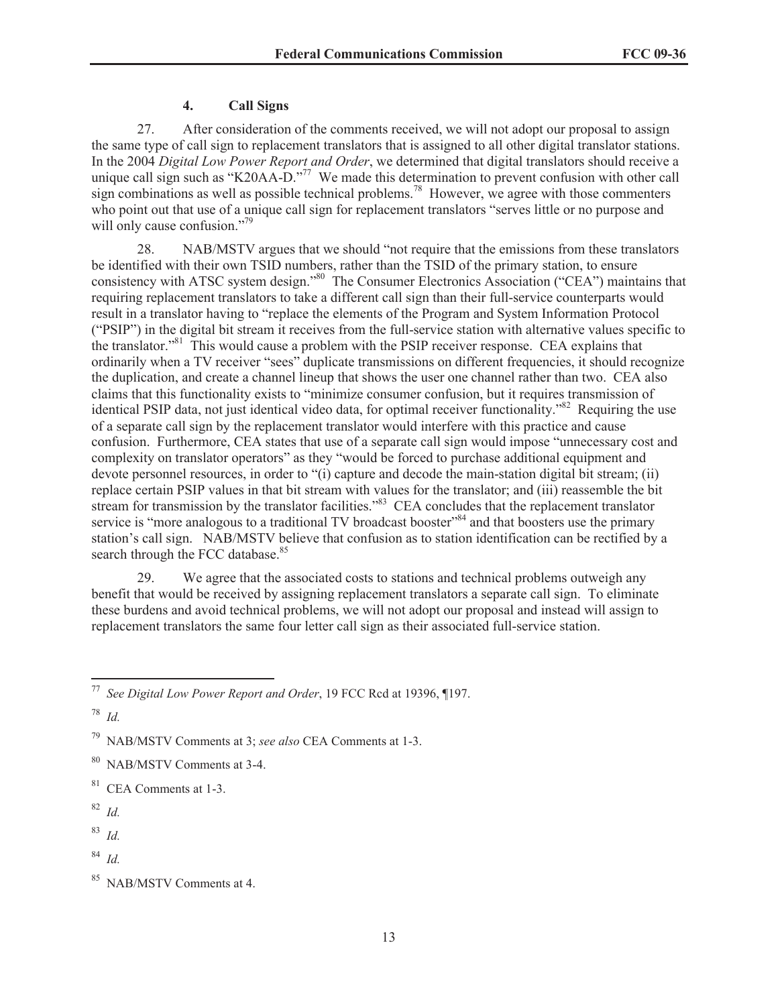#### **4. Call Signs**

27. After consideration of the comments received, we will not adopt our proposal to assign the same type of call sign to replacement translators that is assigned to all other digital translator stations. In the 2004 *Digital Low Power Report and Order*, we determined that digital translators should receive a unique call sign such as "K20AA-D."<sup>77</sup> We made this determination to prevent confusion with other call sign combinations as well as possible technical problems.<sup>78</sup> However, we agree with those commenters who point out that use of a unique call sign for replacement translators "serves little or no purpose and will only cause confusion."<sup>79</sup>

28. NAB/MSTV argues that we should "not require that the emissions from these translators be identified with their own TSID numbers, rather than the TSID of the primary station, to ensure consistency with ATSC system design."<sup>80</sup> The Consumer Electronics Association ("CEA") maintains that requiring replacement translators to take a different call sign than their full-service counterparts would result in a translator having to "replace the elements of the Program and System Information Protocol ("PSIP") in the digital bit stream it receives from the full-service station with alternative values specific to the translator."<sup>81</sup> This would cause a problem with the PSIP receiver response. CEA explains that ordinarily when a TV receiver "sees" duplicate transmissions on different frequencies, it should recognize the duplication, and create a channel lineup that shows the user one channel rather than two. CEA also claims that this functionality exists to "minimize consumer confusion, but it requires transmission of identical PSIP data, not just identical video data, for optimal receiver functionality."<sup>82</sup> Requiring the use of a separate call sign by the replacement translator would interfere with this practice and cause confusion. Furthermore, CEA states that use of a separate call sign would impose "unnecessary cost and complexity on translator operators" as they "would be forced to purchase additional equipment and devote personnel resources, in order to "(i) capture and decode the main-station digital bit stream; (ii) replace certain PSIP values in that bit stream with values for the translator; and (iii) reassemble the bit stream for transmission by the translator facilities.<sup>83</sup> CEA concludes that the replacement translator service is "more analogous to a traditional TV broadcast booster"<sup>84</sup> and that boosters use the primary station's call sign. NAB/MSTV believe that confusion as to station identification can be rectified by a search through the FCC database.<sup>85</sup>

29. We agree that the associated costs to stations and technical problems outweigh any benefit that would be received by assigning replacement translators a separate call sign. To eliminate these burdens and avoid technical problems, we will not adopt our proposal and instead will assign to replacement translators the same four letter call sign as their associated full-service station.

<sup>83</sup> *Id.*

<sup>77</sup> *See Digital Low Power Report and Order*, 19 FCC Rcd at 19396, ¶197.

<sup>78</sup> *Id.*

<sup>79</sup> NAB/MSTV Comments at 3; *see also* CEA Comments at 1-3.

<sup>80</sup> NAB/MSTV Comments at 3-4.

<sup>81</sup> CEA Comments at 1-3.

<sup>82</sup> *Id.*

<sup>84</sup> *Id.*

NAB/MSTV Comments at 4.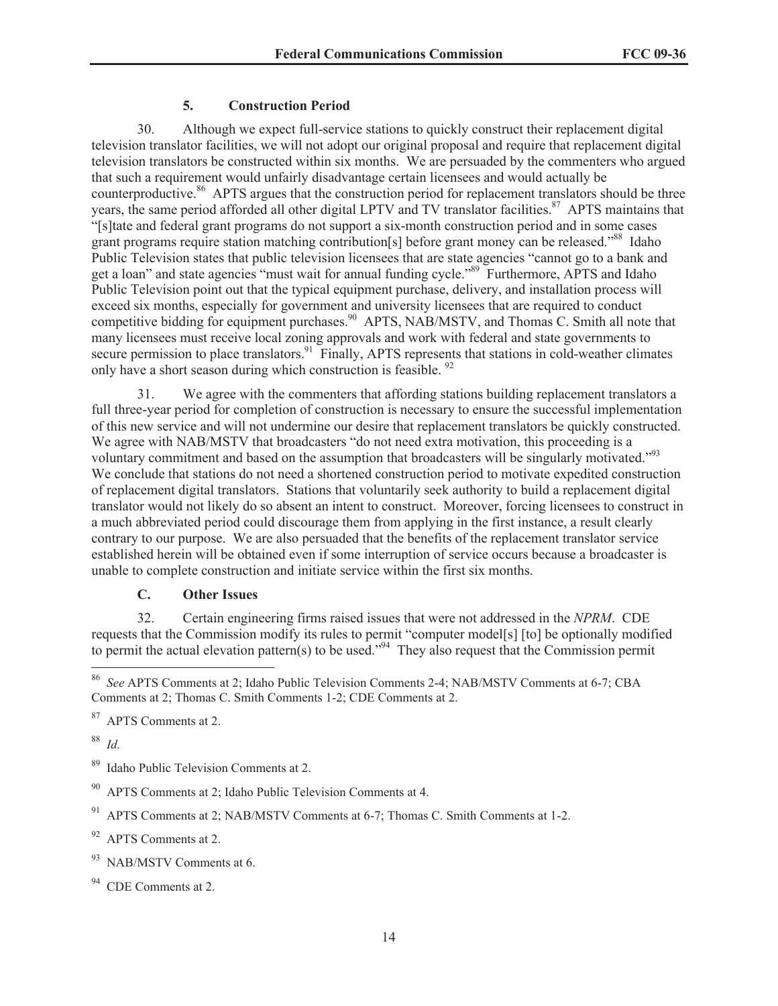## **5. Construction Period**

30. Although we expect full-service stations to quickly construct their replacement digital television translator facilities, we will not adopt our original proposal and require that replacement digital television translators be constructed within six months. We are persuaded by the commenters who argued that such a requirement would unfairly disadvantage certain licensees and would actually be counterproductive.<sup>86</sup> APTS argues that the construction period for replacement translators should be three years, the same period afforded all other digital LPTV and TV translator facilities.<sup>87</sup> APTS maintains that "[s]tate and federal grant programs do not support a six-month construction period and in some cases grant programs require station matching contribution[s] before grant money can be released."<sup>88</sup> Idaho Public Television states that public television licensees that are state agencies "cannot go to a bank and get a loan" and state agencies "must wait for annual funding cycle."<sup>89</sup> Furthermore, APTS and Idaho Public Television point out that the typical equipment purchase, delivery, and installation process will exceed six months, especially for government and university licensees that are required to conduct competitive bidding for equipment purchases.<sup>90</sup> APTS, NAB/MSTV, and Thomas C. Smith all note that many licensees must receive local zoning approvals and work with federal and state governments to secure permission to place translators.<sup>91</sup> Finally, APTS represents that stations in cold-weather climates only have a short season during which construction is feasible. <sup>92</sup>

31. We agree with the commenters that affording stations building replacement translators a full three-year period for completion of construction is necessary to ensure the successful implementation of this new service and will not undermine our desire that replacement translators be quickly constructed. We agree with NAB/MSTV that broadcasters "do not need extra motivation, this proceeding is a voluntary commitment and based on the assumption that broadcasters will be singularly motivated."<sup>93</sup> We conclude that stations do not need a shortened construction period to motivate expedited construction of replacement digital translators. Stations that voluntarily seek authority to build a replacement digital translator would not likely do so absent an intent to construct. Moreover, forcing licensees to construct in a much abbreviated period could discourage them from applying in the first instance, a result clearly contrary to our purpose. We are also persuaded that the benefits of the replacement translator service established herein will be obtained even if some interruption of service occurs because a broadcaster is unable to complete construction and initiate service within the first six months.

## **C. Other Issues**

32. Certain engineering firms raised issues that were not addressed in the *NPRM*. CDE requests that the Commission modify its rules to permit "computer model[s] [to] be optionally modified to permit the actual elevation pattern(s) to be used."<sup>94</sup> They also request that the Commission permit

<sup>88</sup> *Id.*

<sup>86</sup> *See* APTS Comments at 2; Idaho Public Television Comments 2-4; NAB/MSTV Comments at 6-7; CBA Comments at 2; Thomas C. Smith Comments 1-2; CDE Comments at 2.

<sup>87</sup> APTS Comments at 2.

Idaho Public Television Comments at 2.

APTS Comments at 2; Idaho Public Television Comments at 4.

<sup>91</sup> APTS Comments at 2; NAB/MSTV Comments at 6-7; Thomas C. Smith Comments at 1-2.

 $92$  APTS Comments at 2.

 $93$  NAB/MSTV Comments at 6.

<sup>&</sup>lt;sup>94</sup> CDE Comments at 2.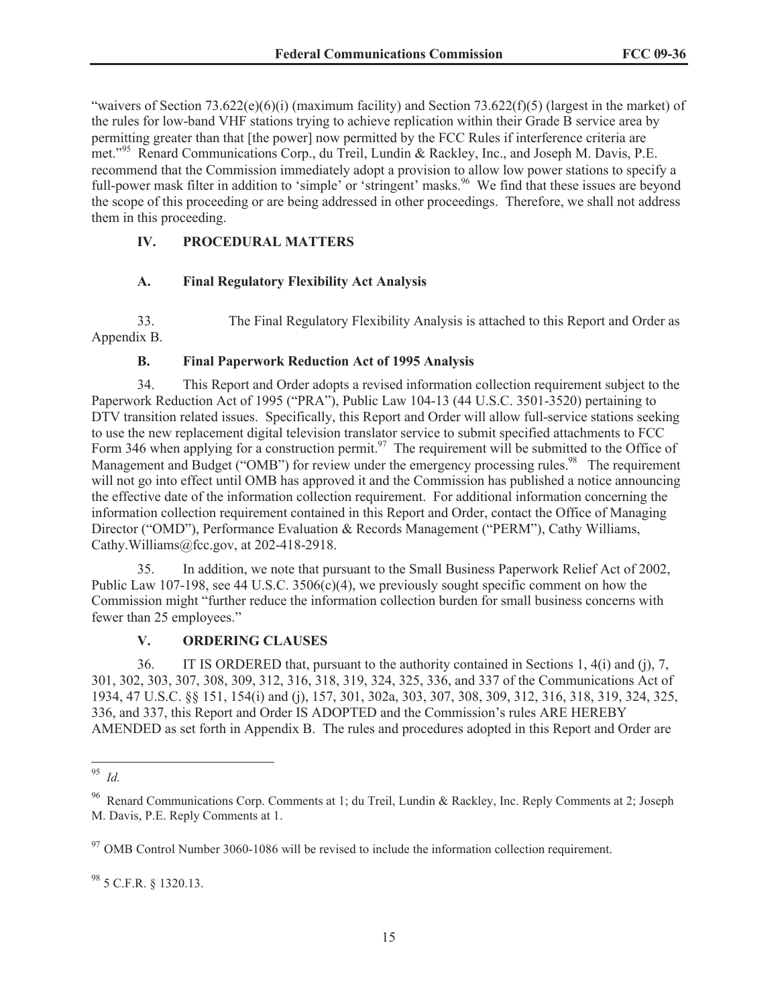"waivers of Section 73.622(e)(6)(i) (maximum facility) and Section 73.622(f)(5) (largest in the market) of the rules for low-band VHF stations trying to achieve replication within their Grade B service area by permitting greater than that [the power] now permitted by the FCC Rules if interference criteria are met."<sup>95</sup> Renard Communications Corp., du Treil, Lundin & Rackley, Inc., and Joseph M. Davis, P.E. recommend that the Commission immediately adopt a provision to allow low power stations to specify a full-power mask filter in addition to 'simple' or 'stringent' masks.<sup>96</sup> We find that these issues are beyond the scope of this proceeding or are being addressed in other proceedings. Therefore, we shall not address them in this proceeding.

# **IV. PROCEDURAL MATTERS**

## **A. Final Regulatory Flexibility Act Analysis**

33. The Final Regulatory Flexibility Analysis is attached to this Report and Order as Appendix B.

## **B. Final Paperwork Reduction Act of 1995 Analysis**

34. This Report and Order adopts a revised information collection requirement subject to the Paperwork Reduction Act of 1995 ("PRA"), Public Law 104-13 (44 U.S.C. 3501-3520) pertaining to DTV transition related issues. Specifically, this Report and Order will allow full-service stations seeking to use the new replacement digital television translator service to submit specified attachments to FCC Form 346 when applying for a construction permit.<sup>97</sup> The requirement will be submitted to the Office of Management and Budget ("OMB") for review under the emergency processing rules.<sup>98</sup> The requirement will not go into effect until OMB has approved it and the Commission has published a notice announcing the effective date of the information collection requirement. For additional information concerning the information collection requirement contained in this Report and Order, contact the Office of Managing Director ("OMD"), Performance Evaluation & Records Management ("PERM"), Cathy Williams, Cathy.Williams@fcc.gov, at 202-418-2918.

35. In addition, we note that pursuant to the Small Business Paperwork Relief Act of 2002, Public Law 107-198, see 44 U.S.C. 3506(c)(4), we previously sought specific comment on how the Commission might "further reduce the information collection burden for small business concerns with fewer than 25 employees."

## **V. ORDERING CLAUSES**

36. IT IS ORDERED that, pursuant to the authority contained in Sections 1, 4(i) and (j), 7, 301, 302, 303, 307, 308, 309, 312, 316, 318, 319, 324, 325, 336, and 337 of the Communications Act of 1934, 47 U.S.C. §§ 151, 154(i) and (j), 157, 301, 302a, 303, 307, 308, 309, 312, 316, 318, 319, 324, 325, 336, and 337, this Report and Order IS ADOPTED and the Commission's rules ARE HEREBY AMENDED as set forth in Appendix B. The rules and procedures adopted in this Report and Order are

<sup>98</sup> 5 C.F.R. § 1320.13.

<sup>95</sup> *Id.*

<sup>&</sup>lt;sup>96</sup> Renard Communications Corp. Comments at 1; du Treil, Lundin & Rackley, Inc. Reply Comments at 2; Joseph M. Davis, P.E. Reply Comments at 1.

 $97$  OMB Control Number 3060-1086 will be revised to include the information collection requirement.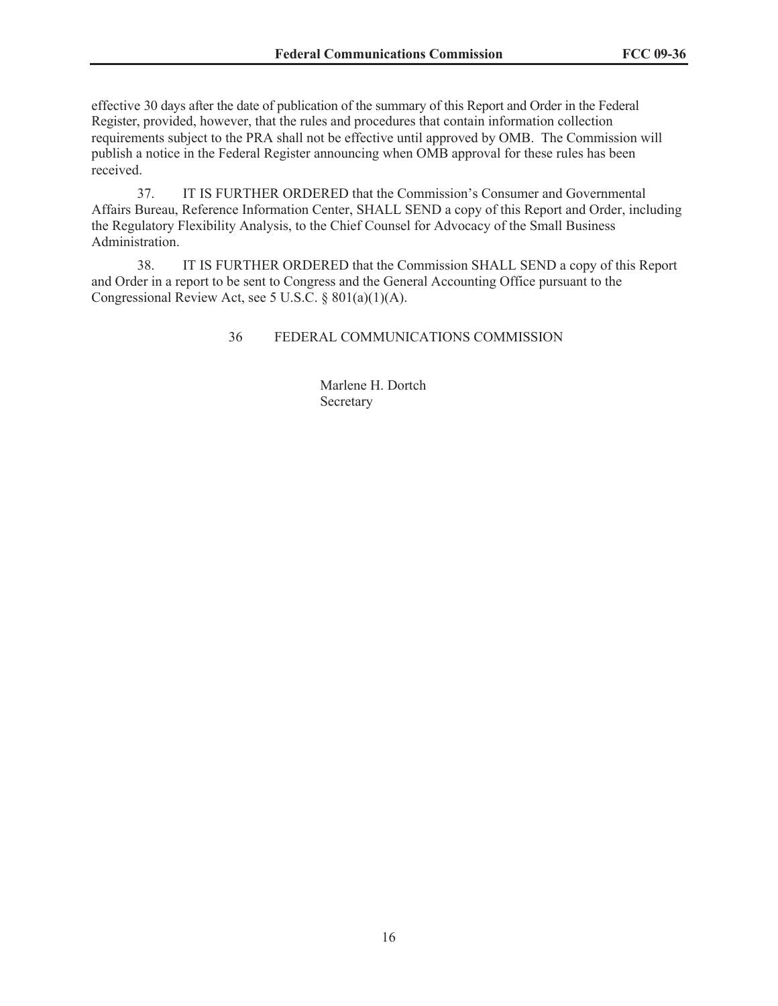effective 30 days after the date of publication of the summary of this Report and Order in the Federal Register, provided, however, that the rules and procedures that contain information collection requirements subject to the PRA shall not be effective until approved by OMB. The Commission will publish a notice in the Federal Register announcing when OMB approval for these rules has been received.

37. IT IS FURTHER ORDERED that the Commission's Consumer and Governmental Affairs Bureau, Reference Information Center, SHALL SEND a copy of this Report and Order, including the Regulatory Flexibility Analysis, to the Chief Counsel for Advocacy of the Small Business Administration.

38. IT IS FURTHER ORDERED that the Commission SHALL SEND a copy of this Report and Order in a report to be sent to Congress and the General Accounting Office pursuant to the Congressional Review Act, see 5 U.S.C. § 801(a)(1)(A).

36 FEDERAL COMMUNICATIONS COMMISSION

Marlene H. Dortch **Secretary**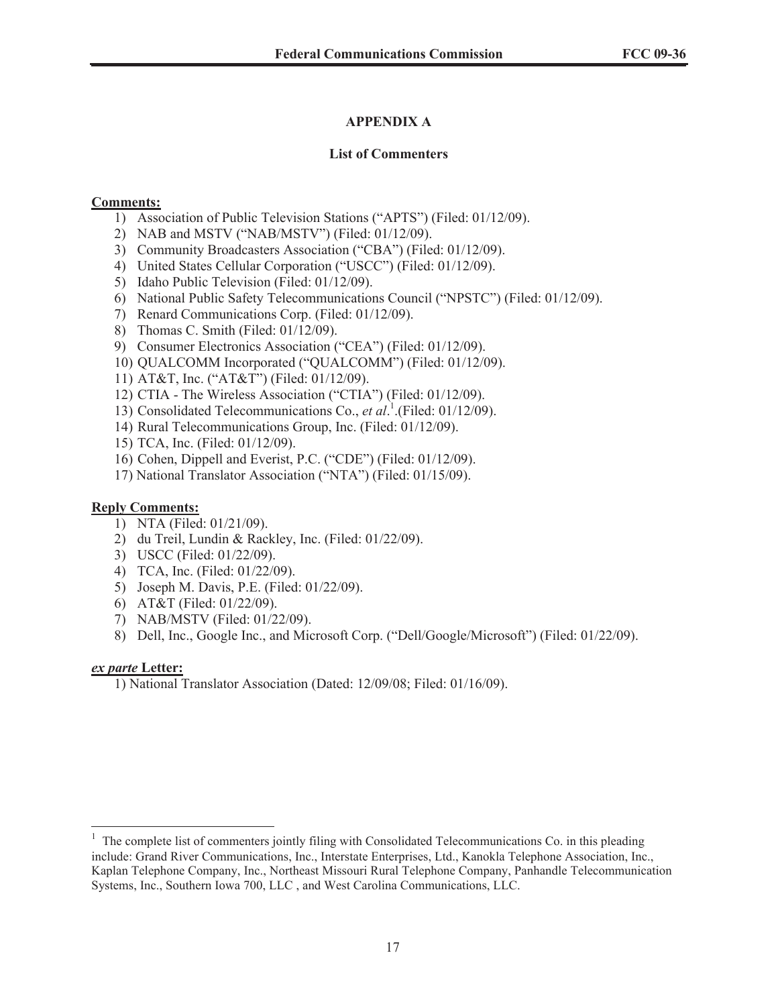# **APPENDIX A**

## **List of Commenters**

## **Comments:**

- 1) Association of Public Television Stations ("APTS") (Filed: 01/12/09).
- 2) NAB and MSTV ("NAB/MSTV") (Filed: 01/12/09).
- 3) Community Broadcasters Association ("CBA") (Filed: 01/12/09).
- 4) United States Cellular Corporation ("USCC") (Filed: 01/12/09).
- 5) Idaho Public Television (Filed: 01/12/09).
- 6) National Public Safety Telecommunications Council ("NPSTC") (Filed: 01/12/09).
- 7) Renard Communications Corp. (Filed: 01/12/09).
- 8) Thomas C. Smith (Filed: 01/12/09).
- 9) Consumer Electronics Association ("CEA") (Filed: 01/12/09).
- 10) QUALCOMM Incorporated ("QUALCOMM") (Filed: 01/12/09).
- 11) AT&T, Inc. ("AT&T") (Filed: 01/12/09).
- 12) CTIA The Wireless Association ("CTIA") (Filed: 01/12/09).
- 13) Consolidated Telecommunications Co., *et al*. 1 .(Filed: 01/12/09).
- 14) Rural Telecommunications Group, Inc. (Filed: 01/12/09).
- 15) TCA, Inc. (Filed: 01/12/09).
- 16) Cohen, Dippell and Everist, P.C. ("CDE") (Filed: 01/12/09).
- 17) National Translator Association ("NTA") (Filed: 01/15/09).

## **Reply Comments:**

- 1) NTA (Filed: 01/21/09).
- 2) du Treil, Lundin & Rackley, Inc. (Filed: 01/22/09).
- 3) USCC (Filed: 01/22/09).
- 4) TCA, Inc. (Filed: 01/22/09).
- 5) Joseph M. Davis, P.E. (Filed: 01/22/09).
- 6) AT&T (Filed: 01/22/09).
- 7) NAB/MSTV (Filed: 01/22/09).
- 8) Dell, Inc., Google Inc., and Microsoft Corp. ("Dell/Google/Microsoft") (Filed: 01/22/09).

#### *ex parte* **Letter:**

1) National Translator Association (Dated: 12/09/08; Filed: 01/16/09).

<sup>1</sup> The complete list of commenters jointly filing with Consolidated Telecommunications Co. in this pleading include: Grand River Communications, Inc., Interstate Enterprises, Ltd., Kanokla Telephone Association, Inc., Kaplan Telephone Company, Inc., Northeast Missouri Rural Telephone Company, Panhandle Telecommunication Systems, Inc., Southern Iowa 700, LLC , and West Carolina Communications, LLC.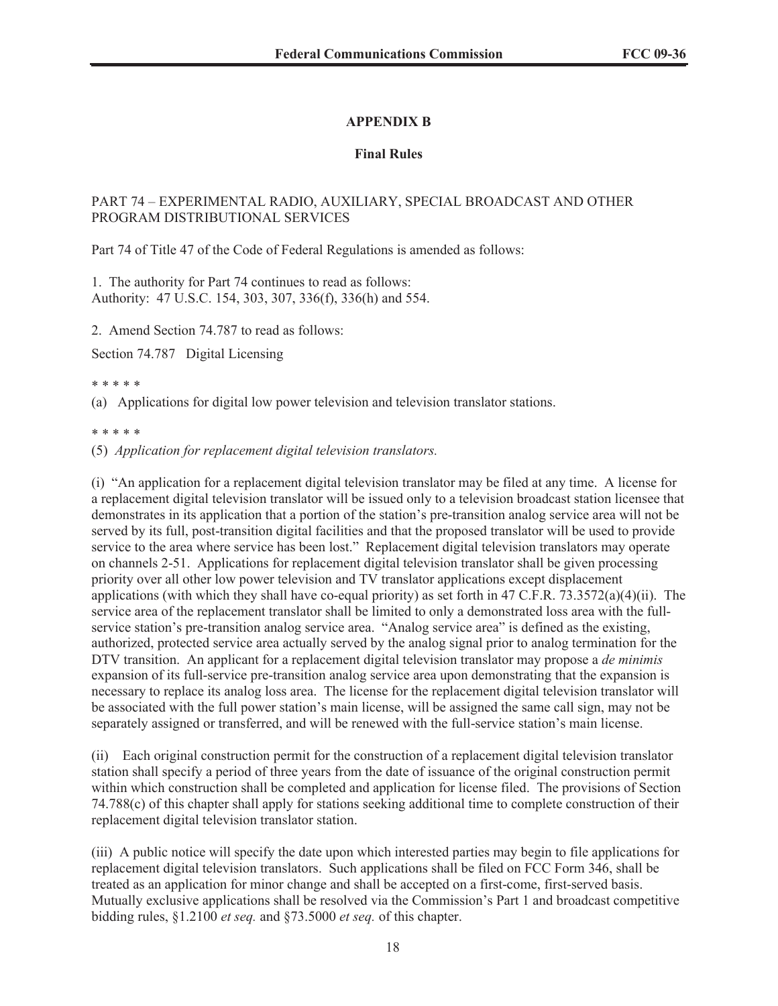# **APPENDIX B**

## **Final Rules**

## PART 74 – EXPERIMENTAL RADIO, AUXILIARY, SPECIAL BROADCAST AND OTHER PROGRAM DISTRIBUTIONAL SERVICES

Part 74 of Title 47 of the Code of Federal Regulations is amended as follows:

1. The authority for Part 74 continues to read as follows: Authority: 47 U.S.C. 154, 303, 307, 336(f), 336(h) and 554.

2. Amend Section 74.787 to read as follows:

Section 74.787 Digital Licensing

\* \* \* \* \*

(a) Applications for digital low power television and television translator stations.

\* \* \* \* \*

(5) *Application for replacement digital television translators.*

(i) "An application for a replacement digital television translator may be filed at any time. A license for a replacement digital television translator will be issued only to a television broadcast station licensee that demonstrates in its application that a portion of the station's pre-transition analog service area will not be served by its full, post-transition digital facilities and that the proposed translator will be used to provide service to the area where service has been lost." Replacement digital television translators may operate on channels 2-51. Applications for replacement digital television translator shall be given processing priority over all other low power television and TV translator applications except displacement applications (with which they shall have co-equal priority) as set forth in  $47 \text{ C.F.R. } 73.3572(a)(4)(ii)$ . The service area of the replacement translator shall be limited to only a demonstrated loss area with the fullservice station's pre-transition analog service area. "Analog service area" is defined as the existing, authorized, protected service area actually served by the analog signal prior to analog termination for the DTV transition. An applicant for a replacement digital television translator may propose a *de minimis*  expansion of its full-service pre-transition analog service area upon demonstrating that the expansion is necessary to replace its analog loss area. The license for the replacement digital television translator will be associated with the full power station's main license, will be assigned the same call sign, may not be separately assigned or transferred, and will be renewed with the full-service station's main license.

(ii) Each original construction permit for the construction of a replacement digital television translator station shall specify a period of three years from the date of issuance of the original construction permit within which construction shall be completed and application for license filed. The provisions of Section 74.788(c) of this chapter shall apply for stations seeking additional time to complete construction of their replacement digital television translator station.

(iii) A public notice will specify the date upon which interested parties may begin to file applications for replacement digital television translators. Such applications shall be filed on FCC Form 346, shall be treated as an application for minor change and shall be accepted on a first-come, first-served basis. Mutually exclusive applications shall be resolved via the Commission's Part 1 and broadcast competitive bidding rules, §1.2100 *et seq.* and §73.5000 *et seq.* of this chapter.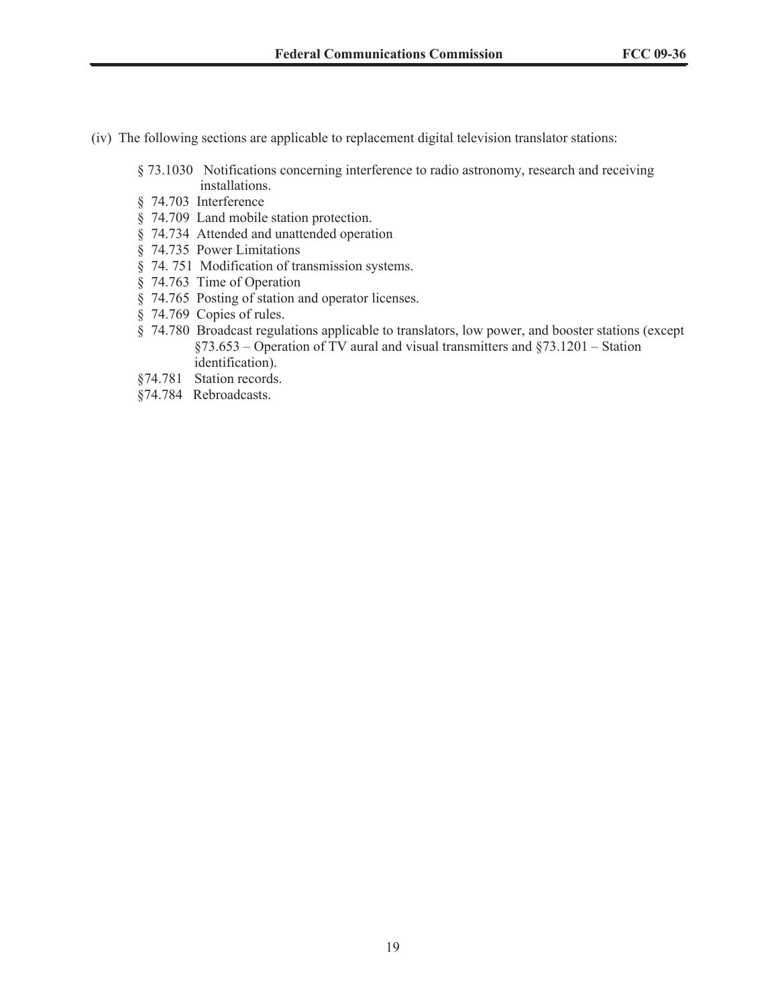- (iv) The following sections are applicable to replacement digital television translator stations:
	- § 73.1030 Notifications concerning interference to radio astronomy, research and receiving installations.
	- § 74.703 Interference
	- § 74.709 Land mobile station protection.
	- § 74.734 Attended and unattended operation
	- § 74.735 Power Limitations
	- § 74. 751 Modification of transmission systems.
	- § 74.763 Time of Operation
	- § 74.765 Posting of station and operator licenses.
	- § 74.769 Copies of rules.
	- § 74.780 Broadcast regulations applicable to translators, low power, and booster stations (except §73.653 – Operation of TV aural and visual transmitters and §73.1201 – Station identification).
	- §74.781 Station records.
	- §74.784 Rebroadcasts.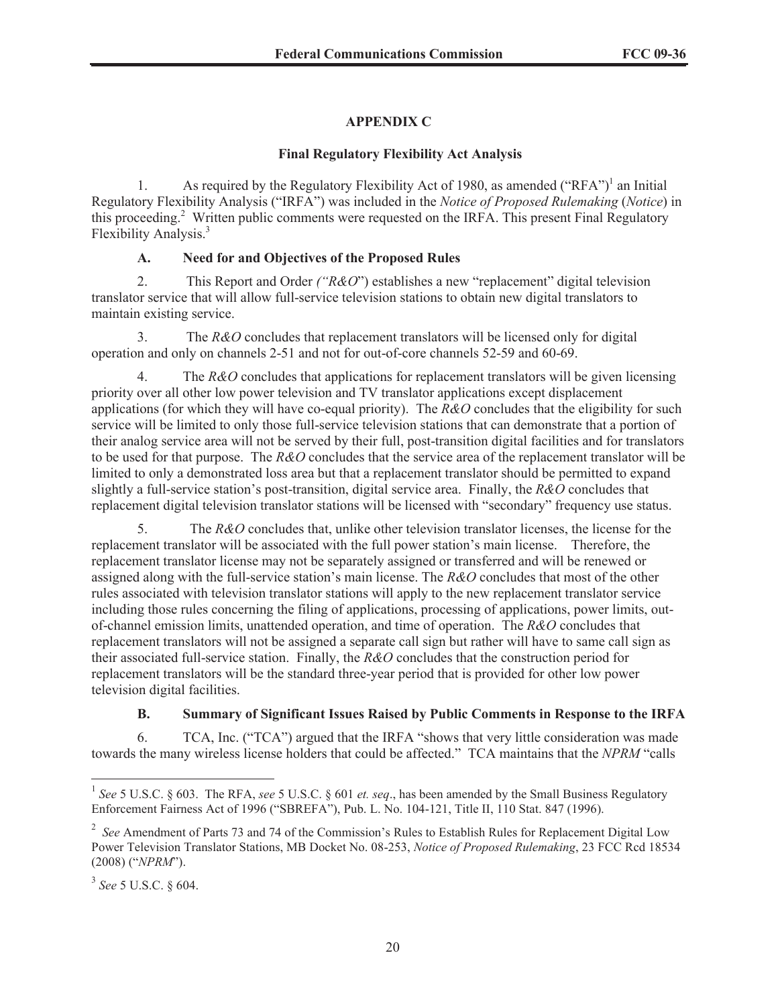# **APPENDIX C**

## **Final Regulatory Flexibility Act Analysis**

1. As required by the Regulatory Flexibility Act of 1980, as amended  $("RFA")^1$  an Initial Regulatory Flexibility Analysis ("IRFA") was included in the *Notice of Proposed Rulemaking* (*Notice*) in this proceeding.<sup>2</sup> Written public comments were requested on the IRFA. This present Final Regulatory Flexibility Analysis.<sup>3</sup>

## **A. Need for and Objectives of the Proposed Rules**

2. This Report and Order *("R&O*") establishes a new "replacement" digital television translator service that will allow full-service television stations to obtain new digital translators to maintain existing service.

3. The *R&O* concludes that replacement translators will be licensed only for digital operation and only on channels 2-51 and not for out-of-core channels 52-59 and 60-69.

4. The *R&O* concludes that applications for replacement translators will be given licensing priority over all other low power television and TV translator applications except displacement applications (for which they will have co-equal priority). The *R&O* concludes that the eligibility for such service will be limited to only those full-service television stations that can demonstrate that a portion of their analog service area will not be served by their full, post-transition digital facilities and for translators to be used for that purpose. The *R&O* concludes that the service area of the replacement translator will be limited to only a demonstrated loss area but that a replacement translator should be permitted to expand slightly a full-service station's post-transition, digital service area. Finally, the *R&O* concludes that replacement digital television translator stations will be licensed with "secondary" frequency use status.

5. The *R&O* concludes that, unlike other television translator licenses, the license for the replacement translator will be associated with the full power station's main license. Therefore, the replacement translator license may not be separately assigned or transferred and will be renewed or assigned along with the full-service station's main license. The *R&O* concludes that most of the other rules associated with television translator stations will apply to the new replacement translator service including those rules concerning the filing of applications, processing of applications, power limits, outof-channel emission limits, unattended operation, and time of operation. The *R&O* concludes that replacement translators will not be assigned a separate call sign but rather will have to same call sign as their associated full-service station. Finally, the *R&O* concludes that the construction period for replacement translators will be the standard three-year period that is provided for other low power television digital facilities.

## **B. Summary of Significant Issues Raised by Public Comments in Response to the IRFA**

6. TCA, Inc. ("TCA") argued that the IRFA "shows that very little consideration was made towards the many wireless license holders that could be affected." TCA maintains that the *NPRM* "calls

<sup>1</sup> *See* 5 U.S.C. § 603. The RFA, *see* 5 U.S.C. § 601 *et. seq*., has been amended by the Small Business Regulatory Enforcement Fairness Act of 1996 ("SBREFA"), Pub. L. No. 104-121, Title II, 110 Stat. 847 (1996).

<sup>&</sup>lt;sup>2</sup> See Amendment of Parts 73 and 74 of the Commission's Rules to Establish Rules for Replacement Digital Low Power Television Translator Stations, MB Docket No. 08-253, *Notice of Proposed Rulemaking*, 23 FCC Rcd 18534 (2008) ("*NPRM*").

<sup>3</sup> *See* 5 U.S.C. § 604.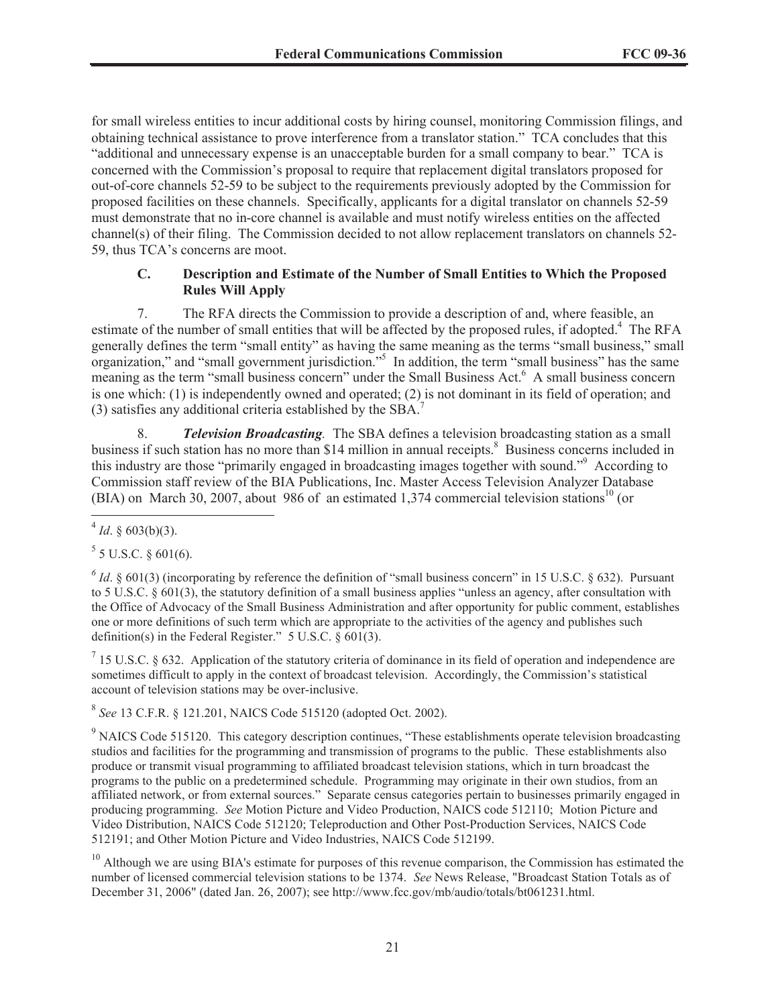for small wireless entities to incur additional costs by hiring counsel, monitoring Commission filings, and obtaining technical assistance to prove interference from a translator station." TCA concludes that this "additional and unnecessary expense is an unacceptable burden for a small company to bear." TCA is concerned with the Commission's proposal to require that replacement digital translators proposed for out-of-core channels 52-59 to be subject to the requirements previously adopted by the Commission for proposed facilities on these channels. Specifically, applicants for a digital translator on channels 52-59 must demonstrate that no in-core channel is available and must notify wireless entities on the affected channel(s) of their filing. The Commission decided to not allow replacement translators on channels 52- 59, thus TCA's concerns are moot.

## **C. Description and Estimate of the Number of Small Entities to Which the Proposed Rules Will Apply**

7. The RFA directs the Commission to provide a description of and, where feasible, an estimate of the number of small entities that will be affected by the proposed rules, if adopted.<sup>4</sup> The RFA generally defines the term "small entity" as having the same meaning as the terms "small business," small organization," and "small government jurisdiction."<sup>5</sup> In addition, the term "small business" has the same meaning as the term "small business concern" under the Small Business Act.<sup>6</sup> A small business concern is one which: (1) is independently owned and operated; (2) is not dominant in its field of operation; and (3) satisfies any additional criteria established by the SBA.<sup>7</sup>

8. *Television Broadcasting.* The SBA defines a television broadcasting station as a small business if such station has no more than \$14 million in annual receipts.<sup>8</sup> Business concerns included in this industry are those "primarily engaged in broadcasting images together with sound."<sup>9</sup> According to Commission staff review of the BIA Publications, Inc. Master Access Television Analyzer Database (BIA) on March 30, 2007, about 986 of an estimated 1,374 commercial television stations<sup>10</sup> (or

 $5$  5 U.S.C. § 601(6).

 $^6$  *Id*. § 601(3) (incorporating by reference the definition of "small business concern" in 15 U.S.C. § 632). Pursuant to 5 U.S.C. § 601(3), the statutory definition of a small business applies "unless an agency, after consultation with the Office of Advocacy of the Small Business Administration and after opportunity for public comment, establishes one or more definitions of such term which are appropriate to the activities of the agency and publishes such definition(s) in the Federal Register."  $5 \text{ U.S.C.}$   $\frac{6}{9}$  601(3).

 $<sup>7</sup>$  15 U.S.C. § 632. Application of the statutory criteria of dominance in its field of operation and independence are</sup> sometimes difficult to apply in the context of broadcast television. Accordingly, the Commission's statistical account of television stations may be over-inclusive.

8 *See* 13 C.F.R. § 121.201, NAICS Code 515120 (adopted Oct. 2002).

<sup>9</sup> NAICS Code 515120. This category description continues, "These establishments operate television broadcasting studios and facilities for the programming and transmission of programs to the public. These establishments also produce or transmit visual programming to affiliated broadcast television stations, which in turn broadcast the programs to the public on a predetermined schedule. Programming may originate in their own studios, from an affiliated network, or from external sources." Separate census categories pertain to businesses primarily engaged in producing programming. *See* Motion Picture and Video Production, NAICS code 512110; Motion Picture and Video Distribution, NAICS Code 512120; Teleproduction and Other Post-Production Services, NAICS Code 512191; and Other Motion Picture and Video Industries, NAICS Code 512199.

 $10$  Although we are using BIA's estimate for purposes of this revenue comparison, the Commission has estimated the number of licensed commercial television stations to be 1374. *See* News Release, "Broadcast Station Totals as of December 31, 2006" (dated Jan. 26, 2007); see http://www.fcc.gov/mb/audio/totals/bt061231.html.

 $4$  *Id.* § 603(b)(3).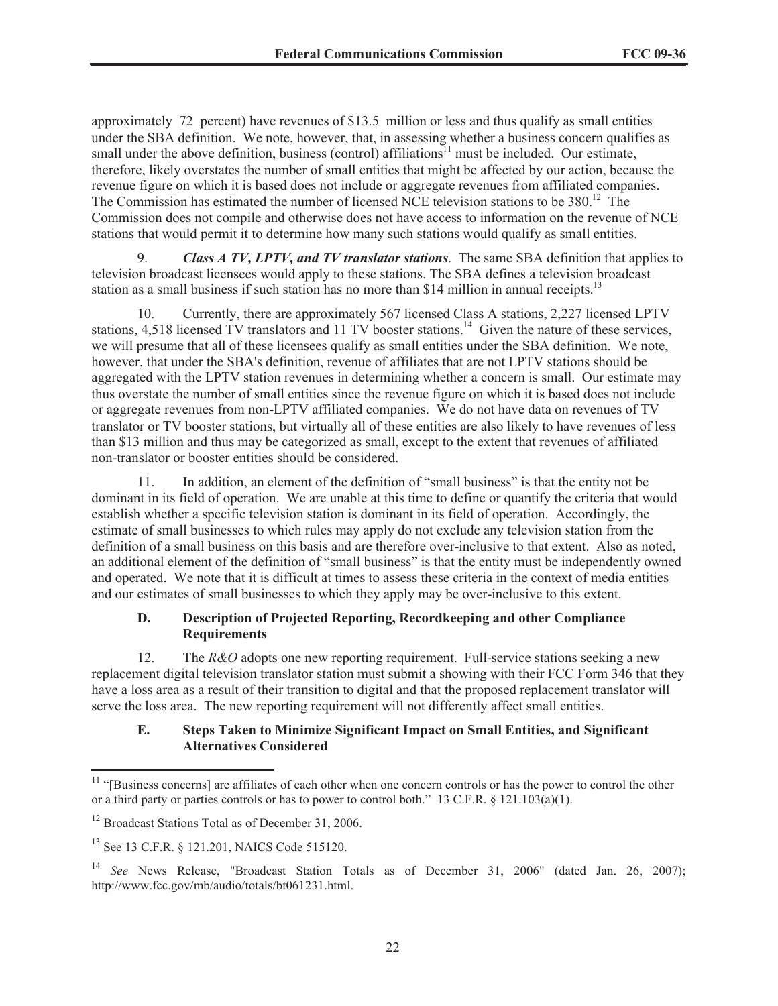approximately 72 percent) have revenues of \$13.5 million or less and thus qualify as small entities under the SBA definition. We note, however, that, in assessing whether a business concern qualifies as small under the above definition, business (control) affiliations<sup>11</sup> must be included. Our estimate, therefore, likely overstates the number of small entities that might be affected by our action, because the revenue figure on which it is based does not include or aggregate revenues from affiliated companies. The Commission has estimated the number of licensed NCE television stations to be 380.<sup>12</sup> The Commission does not compile and otherwise does not have access to information on the revenue of NCE stations that would permit it to determine how many such stations would qualify as small entities.

9. *Class A TV, LPTV, and TV translator stations*. The same SBA definition that applies to television broadcast licensees would apply to these stations. The SBA defines a television broadcast station as a small business if such station has no more than \$14 million in annual receipts.<sup>13</sup>

10. Currently, there are approximately 567 licensed Class A stations, 2,227 licensed LPTV stations, 4,518 licensed TV translators and 11 TV booster stations.<sup>14</sup> Given the nature of these services, we will presume that all of these licensees qualify as small entities under the SBA definition. We note, however, that under the SBA's definition, revenue of affiliates that are not LPTV stations should be aggregated with the LPTV station revenues in determining whether a concern is small. Our estimate may thus overstate the number of small entities since the revenue figure on which it is based does not include or aggregate revenues from non-LPTV affiliated companies. We do not have data on revenues of TV translator or TV booster stations, but virtually all of these entities are also likely to have revenues of less than \$13 million and thus may be categorized as small, except to the extent that revenues of affiliated non-translator or booster entities should be considered.

11. In addition, an element of the definition of "small business" is that the entity not be dominant in its field of operation. We are unable at this time to define or quantify the criteria that would establish whether a specific television station is dominant in its field of operation. Accordingly, the estimate of small businesses to which rules may apply do not exclude any television station from the definition of a small business on this basis and are therefore over-inclusive to that extent. Also as noted, an additional element of the definition of "small business" is that the entity must be independently owned and operated. We note that it is difficult at times to assess these criteria in the context of media entities and our estimates of small businesses to which they apply may be over-inclusive to this extent.

## **D. Description of Projected Reporting, Recordkeeping and other Compliance Requirements**

12. The *R&O* adopts one new reporting requirement. Full-service stations seeking a new replacement digital television translator station must submit a showing with their FCC Form 346 that they have a loss area as a result of their transition to digital and that the proposed replacement translator will serve the loss area. The new reporting requirement will not differently affect small entities.

## **E. Steps Taken to Minimize Significant Impact on Small Entities, and Significant Alternatives Considered**

<sup>&</sup>lt;sup>11</sup> "[Business concerns] are affiliates of each other when one concern controls or has the power to control the other or a third party or parties controls or has to power to control both." 13 C.F.R. § 121.103(a)(1).

<sup>&</sup>lt;sup>12</sup> Broadcast Stations Total as of December 31, 2006.

<sup>13</sup> See 13 C.F.R. § 121.201, NAICS Code 515120.

<sup>14</sup> *See* News Release, "Broadcast Station Totals as of December 31, 2006" (dated Jan. 26, 2007); http://www.fcc.gov/mb/audio/totals/bt061231.html.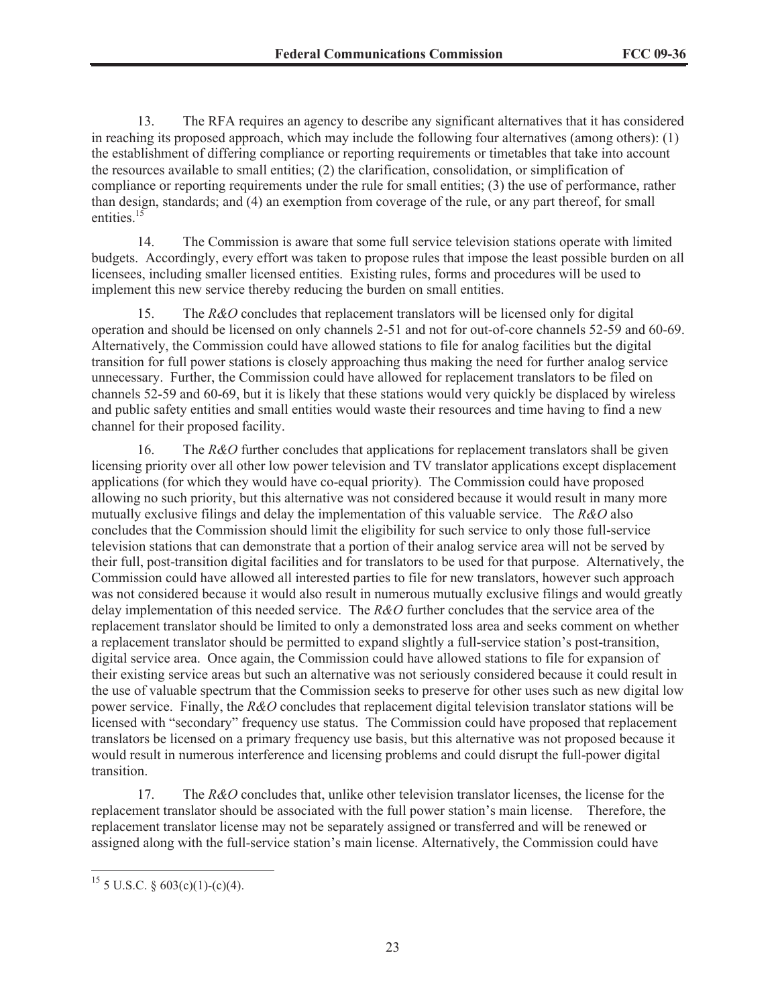13. The RFA requires an agency to describe any significant alternatives that it has considered in reaching its proposed approach, which may include the following four alternatives (among others): (1) the establishment of differing compliance or reporting requirements or timetables that take into account the resources available to small entities; (2) the clarification, consolidation, or simplification of compliance or reporting requirements under the rule for small entities; (3) the use of performance, rather than design, standards; and (4) an exemption from coverage of the rule, or any part thereof, for small entities.<sup>15</sup>

14. The Commission is aware that some full service television stations operate with limited budgets. Accordingly, every effort was taken to propose rules that impose the least possible burden on all licensees, including smaller licensed entities. Existing rules, forms and procedures will be used to implement this new service thereby reducing the burden on small entities.

15. The *R&O* concludes that replacement translators will be licensed only for digital operation and should be licensed on only channels 2-51 and not for out-of-core channels 52-59 and 60-69. Alternatively, the Commission could have allowed stations to file for analog facilities but the digital transition for full power stations is closely approaching thus making the need for further analog service unnecessary. Further, the Commission could have allowed for replacement translators to be filed on channels 52-59 and 60-69, but it is likely that these stations would very quickly be displaced by wireless and public safety entities and small entities would waste their resources and time having to find a new channel for their proposed facility.

16. The *R&O* further concludes that applications for replacement translators shall be given licensing priority over all other low power television and TV translator applications except displacement applications (for which they would have co-equal priority). The Commission could have proposed allowing no such priority, but this alternative was not considered because it would result in many more mutually exclusive filings and delay the implementation of this valuable service. The *R&O* also concludes that the Commission should limit the eligibility for such service to only those full-service television stations that can demonstrate that a portion of their analog service area will not be served by their full, post-transition digital facilities and for translators to be used for that purpose. Alternatively, the Commission could have allowed all interested parties to file for new translators, however such approach was not considered because it would also result in numerous mutually exclusive filings and would greatly delay implementation of this needed service. The *R&O* further concludes that the service area of the replacement translator should be limited to only a demonstrated loss area and seeks comment on whether a replacement translator should be permitted to expand slightly a full-service station's post-transition, digital service area. Once again, the Commission could have allowed stations to file for expansion of their existing service areas but such an alternative was not seriously considered because it could result in the use of valuable spectrum that the Commission seeks to preserve for other uses such as new digital low power service. Finally, the *R&O* concludes that replacement digital television translator stations will be licensed with "secondary" frequency use status. The Commission could have proposed that replacement translators be licensed on a primary frequency use basis, but this alternative was not proposed because it would result in numerous interference and licensing problems and could disrupt the full-power digital transition.

17. The *R&O* concludes that, unlike other television translator licenses, the license for the replacement translator should be associated with the full power station's main license. Therefore, the replacement translator license may not be separately assigned or transferred and will be renewed or assigned along with the full-service station's main license. Alternatively, the Commission could have

 $15$  5 U.S.C. § 603(c)(1)-(c)(4).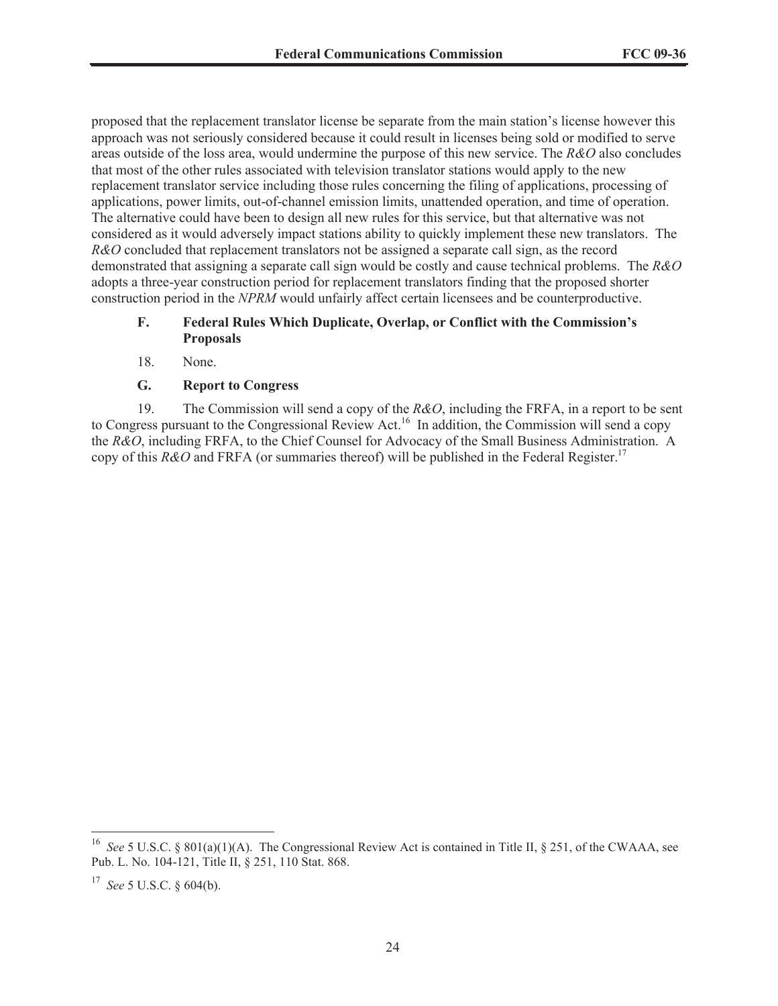proposed that the replacement translator license be separate from the main station's license however this approach was not seriously considered because it could result in licenses being sold or modified to serve areas outside of the loss area, would undermine the purpose of this new service. The *R&O* also concludes that most of the other rules associated with television translator stations would apply to the new replacement translator service including those rules concerning the filing of applications, processing of applications, power limits, out-of-channel emission limits, unattended operation, and time of operation. The alternative could have been to design all new rules for this service, but that alternative was not considered as it would adversely impact stations ability to quickly implement these new translators. The *R&O* concluded that replacement translators not be assigned a separate call sign, as the record demonstrated that assigning a separate call sign would be costly and cause technical problems. The *R&O*  adopts a three-year construction period for replacement translators finding that the proposed shorter construction period in the *NPRM* would unfairly affect certain licensees and be counterproductive.

#### **F. Federal Rules Which Duplicate, Overlap, or Conflict with the Commission's Proposals**

18. None.

## **G. Report to Congress**

19. The Commission will send a copy of the *R&O*, including the FRFA, in a report to be sent to Congress pursuant to the Congressional Review Act.<sup>16</sup> In addition, the Commission will send a copy the *R&O*, including FRFA, to the Chief Counsel for Advocacy of the Small Business Administration. A copy of this *R&O* and FRFA (or summaries thereof) will be published in the Federal Register.<sup>17</sup>

<sup>16</sup> *See* 5 U.S.C. § 801(a)(1)(A). The Congressional Review Act is contained in Title II, § 251, of the CWAAA, see Pub. L. No. 104-121, Title II, § 251, 110 Stat. 868.

<sup>17</sup> *See* 5 U.S.C. § 604(b).